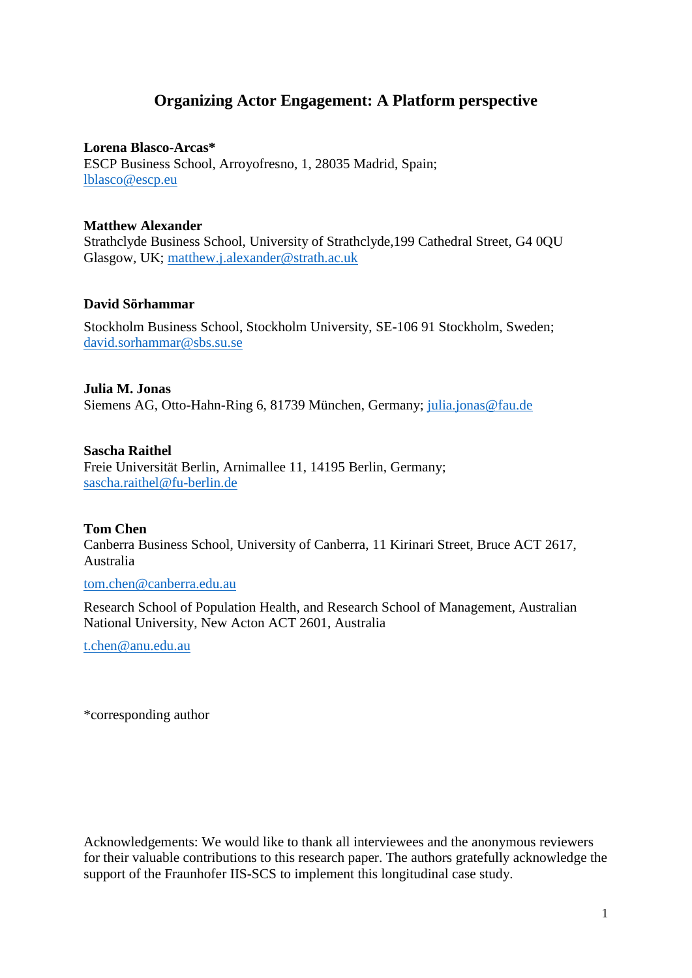## **Organizing Actor Engagement: A Platform perspective**

**Lorena Blasco-Arcas\***

ESCP Business School, Arroyofresno, 1, 28035 Madrid, Spain; [lblasco@escp.eu](mailto:lblasco@escp.eu)

### **Matthew Alexander**

Strathclyde Business School, University of Strathclyde,199 Cathedral Street, G4 0QU Glasgow, UK; [matthew.j.alexander@strath.ac.uk](mailto:matthew.j.alexander@strath.ac.uk)

### **David Sörhammar**

Stockholm Business School, Stockholm University, SE-106 91 Stockholm, Sweden; [david.sorhammar@sbs.su.se](mailto:david.sorhammar@sbs.su.se)

#### **Julia M. Jonas**

Siemens AG, Otto-Hahn-Ring 6, 81739 München, Germany; [julia.jonas@fau.de](mailto:julia.jonas@fau.de)

#### **Sascha Raithel**

Freie Universität Berlin, Arnimallee 11, 14195 Berlin, Germany; [sascha.raithel@fu-berlin.de](mailto:sascha.raithel@fu-berlin.de)

### **Tom Chen**

Canberra Business School, University of Canberra, 11 Kirinari Street, Bruce ACT 2617, Australia

[tom.chen@canberra.edu.au](mailto:tom.chen@newcastle.edu.au)

Research School of Population Health, and Research School of Management, Australian National University, New Acton ACT 2601, Australia

[t.chen@anu.edu.au](mailto:t.chen@anu.edu.au)

\*corresponding author

Acknowledgements: We would like to thank all interviewees and the anonymous reviewers for their valuable contributions to this research paper. The authors gratefully acknowledge the support of the Fraunhofer IIS-SCS to implement this longitudinal case study.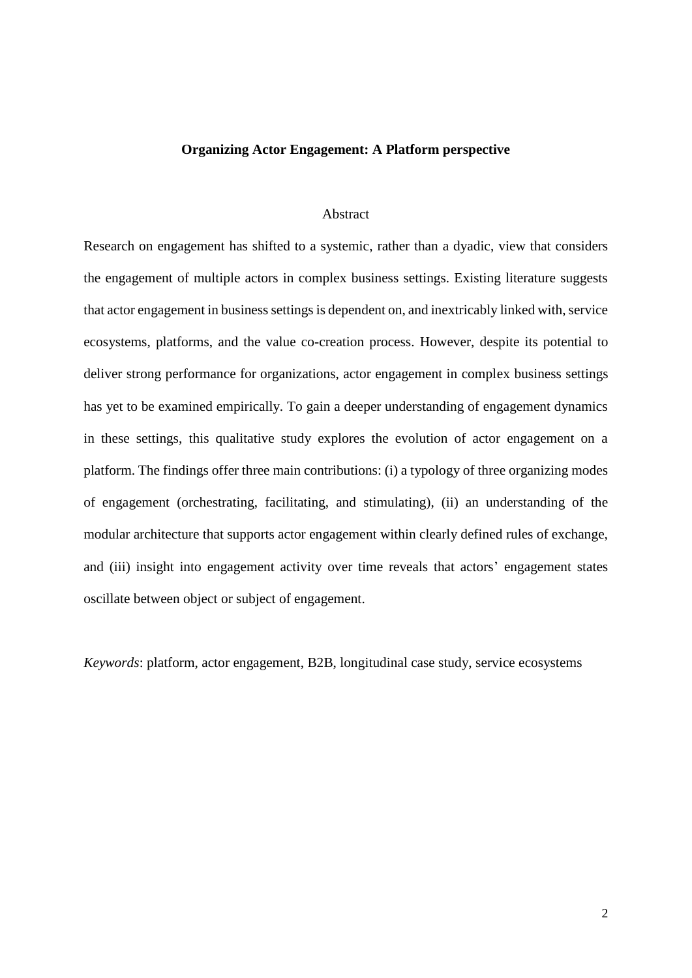#### **Organizing Actor Engagement: A Platform perspective**

#### Abstract

Research on engagement has shifted to a systemic, rather than a dyadic, view that considers the engagement of multiple actors in complex business settings. Existing literature suggests that actor engagement in business settings is dependent on, and inextricably linked with, service ecosystems, platforms, and the value co-creation process. However, despite its potential to deliver strong performance for organizations, actor engagement in complex business settings has yet to be examined empirically. To gain a deeper understanding of engagement dynamics in these settings, this qualitative study explores the evolution of actor engagement on a platform. The findings offer three main contributions: (i) a typology of three organizing modes of engagement (orchestrating, facilitating, and stimulating), (ii) an understanding of the modular architecture that supports actor engagement within clearly defined rules of exchange, and (iii) insight into engagement activity over time reveals that actors' engagement states oscillate between object or subject of engagement.

*Keywords*: platform, actor engagement, B2B, longitudinal case study, service ecosystems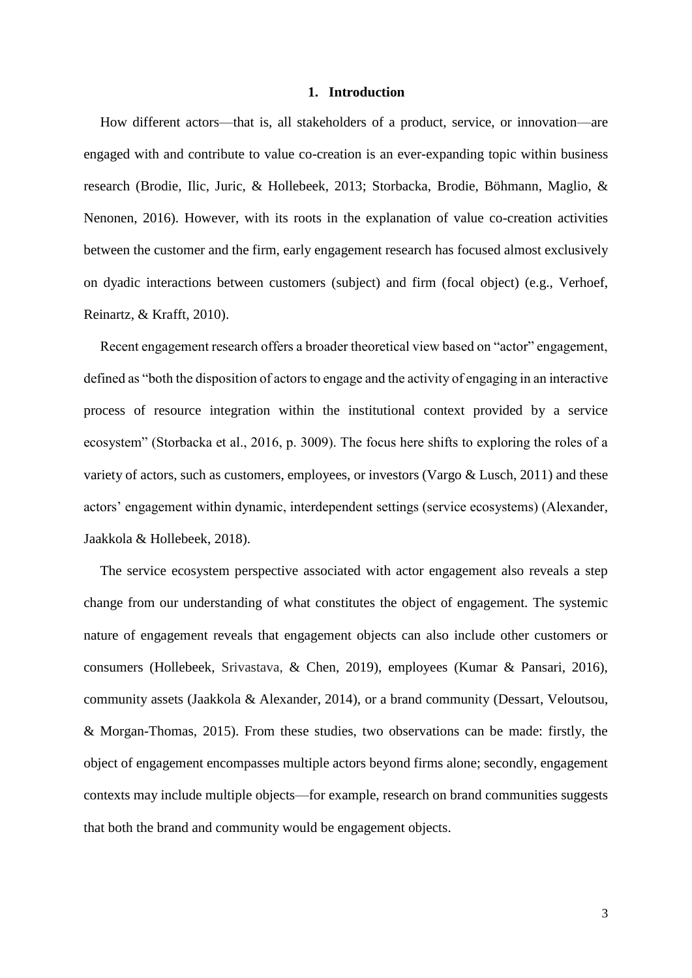#### **1. Introduction**

How different actors—that is, all stakeholders of a product, service, or innovation—are engaged with and contribute to value co-creation is an ever-expanding topic within business research (Brodie, Ilic, Juric, & Hollebeek, 2013; Storbacka, Brodie, Böhmann, Maglio, & Nenonen, 2016). However, with its roots in the explanation of value co-creation activities between the customer and the firm, early engagement research has focused almost exclusively on dyadic interactions between customers (subject) and firm (focal object) (e.g., Verhoef, Reinartz, & Krafft, 2010).

Recent engagement research offers a broader theoretical view based on "actor" engagement, defined as "both the disposition of actors to engage and the activity of engaging in an interactive process of resource integration within the institutional context provided by a service ecosystem" (Storbacka et al., 2016, p. 3009). The focus here shifts to exploring the roles of a variety of actors, such as customers, employees, or investors (Vargo & Lusch, 2011) and these actors' engagement within dynamic, interdependent settings (service ecosystems) (Alexander, Jaakkola & Hollebeek, 2018).

The service ecosystem perspective associated with actor engagement also reveals a step change from our understanding of what constitutes the object of engagement. The systemic nature of engagement reveals that engagement objects can also include other customers or consumers (Hollebeek, Srivastava, & Chen, 2019), employees (Kumar & Pansari, 2016), community assets (Jaakkola & Alexander, 2014), or a brand community (Dessart, Veloutsou, & Morgan-Thomas, 2015). From these studies, two observations can be made: firstly, the object of engagement encompasses multiple actors beyond firms alone; secondly, engagement contexts may include multiple objects—for example, research on brand communities suggests that both the brand and community would be engagement objects.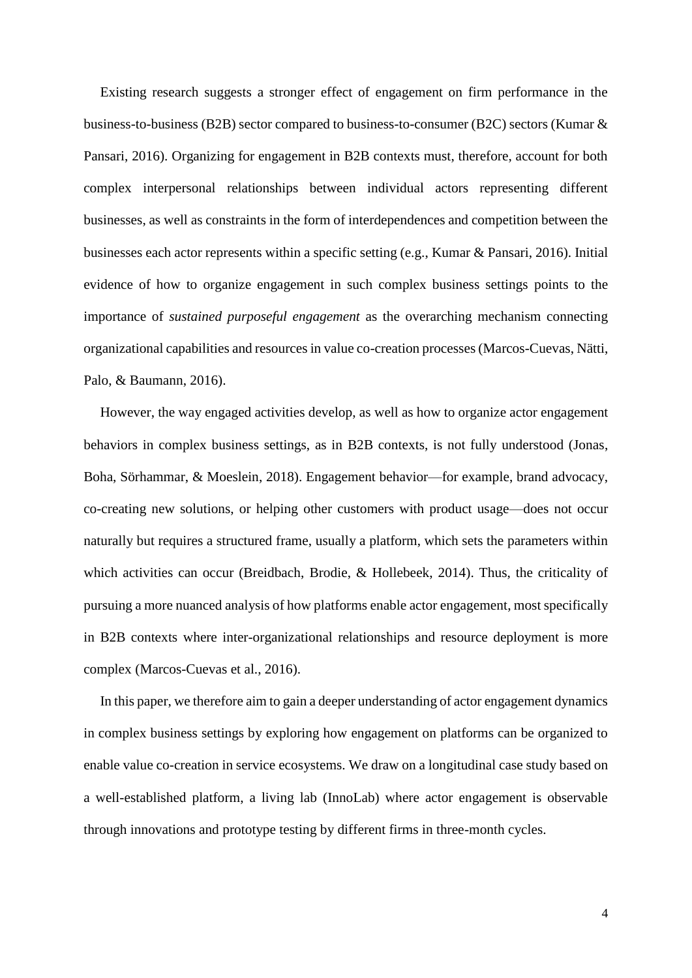Existing research suggests a stronger effect of engagement on firm performance in the business-to-business (B2B) sector compared to business-to-consumer (B2C) sectors (Kumar & Pansari, 2016). Organizing for engagement in B2B contexts must, therefore, account for both complex interpersonal relationships between individual actors representing different businesses, as well as constraints in the form of interdependences and competition between the businesses each actor represents within a specific setting (e.g., Kumar & Pansari, 2016). Initial evidence of how to organize engagement in such complex business settings points to the importance of *sustained purposeful engagement* as the overarching mechanism connecting organizational capabilities and resources in value co-creation processes (Marcos-Cuevas, Nätti, Palo, & Baumann, 2016).

However, the way engaged activities develop, as well as how to organize actor engagement behaviors in complex business settings, as in B2B contexts, is not fully understood (Jonas, Boha, Sörhammar, & Moeslein, 2018). Engagement behavior—for example, brand advocacy, co-creating new solutions, or helping other customers with product usage—does not occur naturally but requires a structured frame, usually a platform, which sets the parameters within which activities can occur (Breidbach, Brodie, & Hollebeek, 2014). Thus, the criticality of pursuing a more nuanced analysis of how platforms enable actor engagement, most specifically in B2B contexts where inter-organizational relationships and resource deployment is more complex (Marcos-Cuevas et al., 2016).

In this paper, we therefore aim to gain a deeper understanding of actor engagement dynamics in complex business settings by exploring how engagement on platforms can be organized to enable value co-creation in service ecosystems. We draw on a longitudinal case study based on a well-established platform, a living lab (InnoLab) where actor engagement is observable through innovations and prototype testing by different firms in three-month cycles.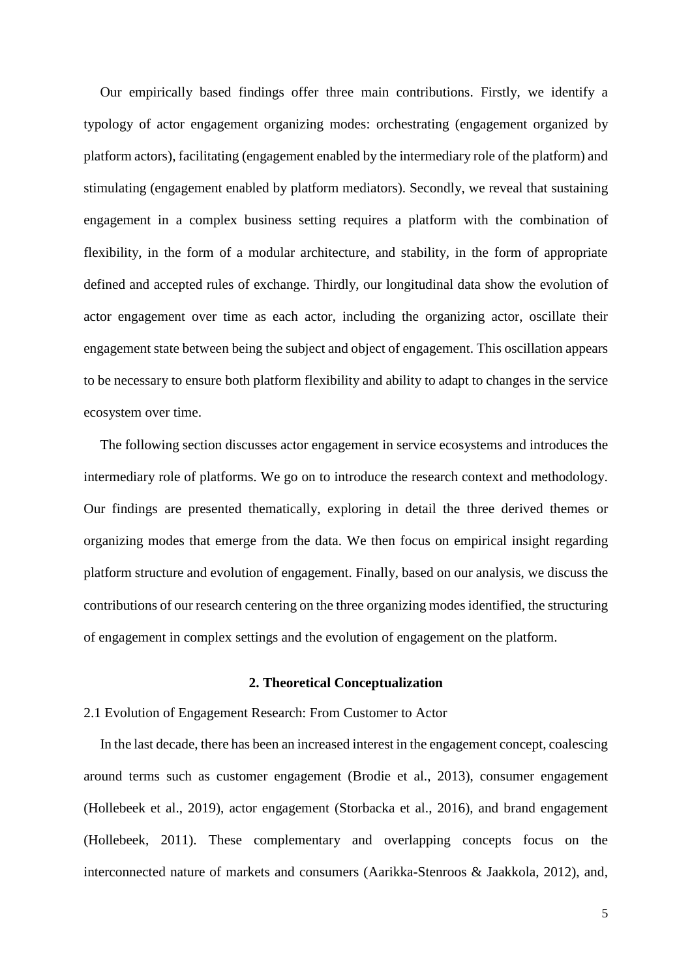Our empirically based findings offer three main contributions. Firstly, we identify a typology of actor engagement organizing modes: orchestrating (engagement organized by platform actors), facilitating (engagement enabled by the intermediary role of the platform) and stimulating (engagement enabled by platform mediators). Secondly, we reveal that sustaining engagement in a complex business setting requires a platform with the combination of flexibility, in the form of a modular architecture, and stability, in the form of appropriate defined and accepted rules of exchange. Thirdly, our longitudinal data show the evolution of actor engagement over time as each actor, including the organizing actor, oscillate their engagement state between being the subject and object of engagement. This oscillation appears to be necessary to ensure both platform flexibility and ability to adapt to changes in the service ecosystem over time.

The following section discusses actor engagement in service ecosystems and introduces the intermediary role of platforms. We go on to introduce the research context and methodology. Our findings are presented thematically, exploring in detail the three derived themes or organizing modes that emerge from the data. We then focus on empirical insight regarding platform structure and evolution of engagement. Finally, based on our analysis, we discuss the contributions of our research centering on the three organizing modes identified, the structuring of engagement in complex settings and the evolution of engagement on the platform.

#### **2. Theoretical Conceptualization**

#### 2.1 Evolution of Engagement Research: From Customer to Actor

In the last decade, there has been an increased interest in the engagement concept, coalescing around terms such as customer engagement (Brodie et al., 2013), consumer engagement (Hollebeek et al., 2019), actor engagement (Storbacka et al., 2016), and brand engagement (Hollebeek, 2011). These complementary and overlapping concepts focus on the interconnected nature of markets and consumers (Aarikka-Stenroos & Jaakkola, 2012), and,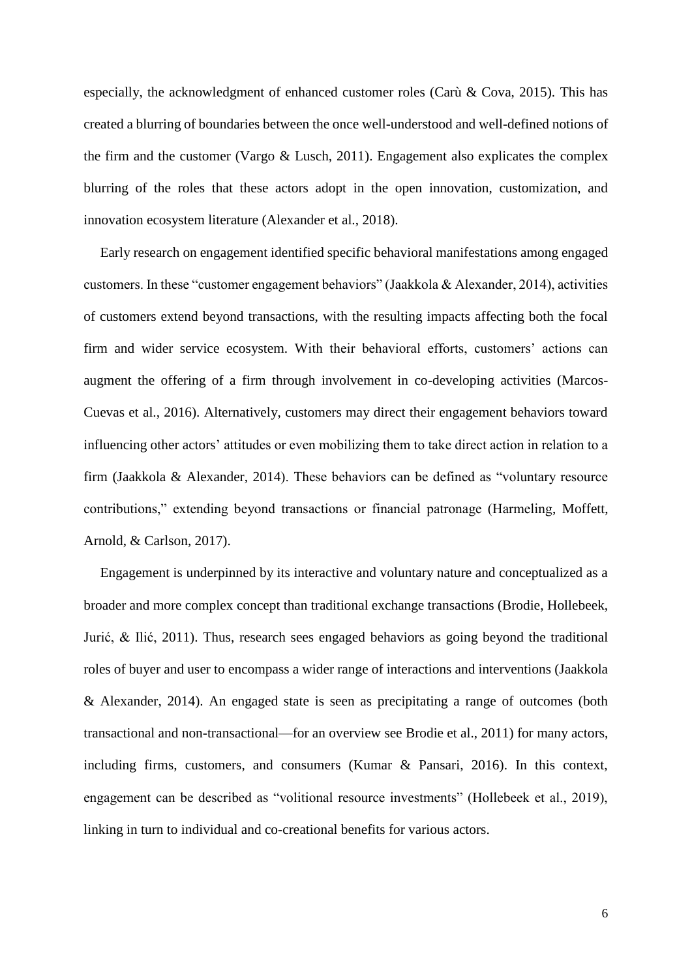especially, the acknowledgment of enhanced customer roles (Carù & Cova, 2015). This has created a blurring of boundaries between the once well-understood and well-defined notions of the firm and the customer (Vargo & Lusch, 2011). Engagement also explicates the complex blurring of the roles that these actors adopt in the open innovation, customization, and innovation ecosystem literature (Alexander et al., 2018).

Early research on engagement identified specific behavioral manifestations among engaged customers. In these "customer engagement behaviors" (Jaakkola & Alexander, 2014), activities of customers extend beyond transactions, with the resulting impacts affecting both the focal firm and wider service ecosystem. With their behavioral efforts, customers' actions can augment the offering of a firm through involvement in co-developing activities (Marcos-Cuevas et al., 2016). Alternatively, customers may direct their engagement behaviors toward influencing other actors' attitudes or even mobilizing them to take direct action in relation to a firm (Jaakkola & Alexander, 2014). These behaviors can be defined as "voluntary resource contributions," extending beyond transactions or financial patronage (Harmeling, Moffett, Arnold, & Carlson, 2017).

Engagement is underpinned by its interactive and voluntary nature and conceptualized as a broader and more complex concept than traditional exchange transactions (Brodie, Hollebeek, Jurić, & Ilić, 2011). Thus, research sees engaged behaviors as going beyond the traditional roles of buyer and user to encompass a wider range of interactions and interventions (Jaakkola & Alexander, 2014). An engaged state is seen as precipitating a range of outcomes (both transactional and non-transactional—for an overview see Brodie et al., 2011) for many actors, including firms, customers, and consumers (Kumar & Pansari, 2016). In this context, engagement can be described as "volitional resource investments" (Hollebeek et al., 2019), linking in turn to individual and co-creational benefits for various actors.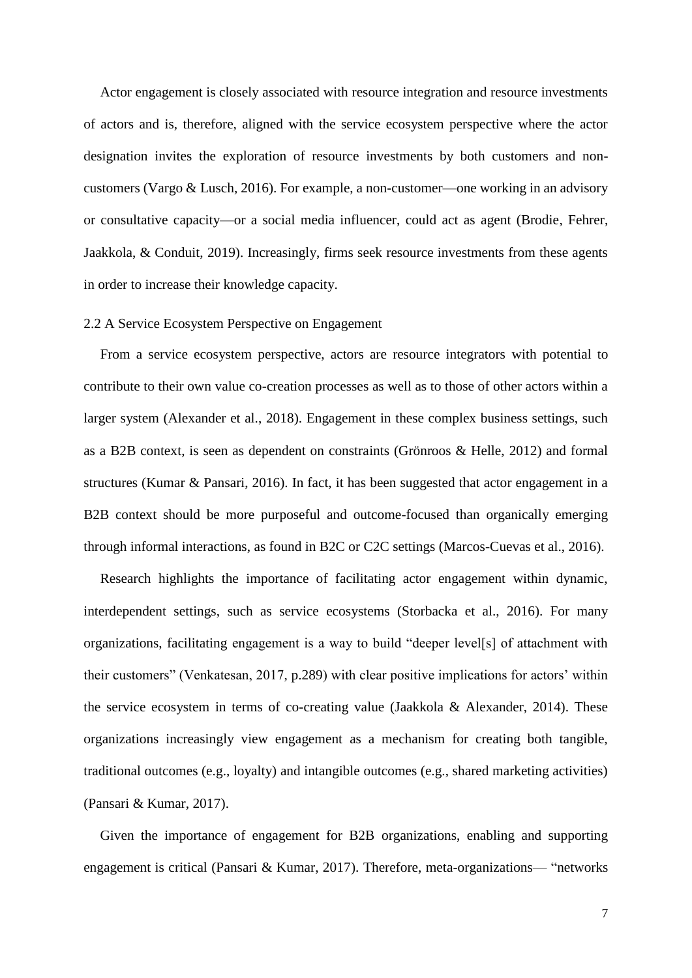Actor engagement is closely associated with resource integration and resource investments of actors and is, therefore, aligned with the service ecosystem perspective where the actor designation invites the exploration of resource investments by both customers and noncustomers (Vargo & Lusch, 2016). For example, a non-customer—one working in an advisory or consultative capacity—or a social media influencer, could act as agent (Brodie, Fehrer, Jaakkola, & Conduit, 2019). Increasingly, firms seek resource investments from these agents in order to increase their knowledge capacity.

#### 2.2 A Service Ecosystem Perspective on Engagement

From a service ecosystem perspective, actors are resource integrators with potential to contribute to their own value co-creation processes as well as to those of other actors within a larger system (Alexander et al., 2018). Engagement in these complex business settings, such as a B2B context, is seen as dependent on constraints (Grönroos & Helle, 2012) and formal structures (Kumar & Pansari, 2016). In fact, it has been suggested that actor engagement in a B2B context should be more purposeful and outcome-focused than organically emerging through informal interactions, as found in B2C or C2C settings (Marcos-Cuevas et al., 2016).

Research highlights the importance of facilitating actor engagement within dynamic, interdependent settings, such as service ecosystems (Storbacka et al., 2016). For many organizations, facilitating engagement is a way to build "deeper level[s] of attachment with their customers" (Venkatesan, 2017, p.289) with clear positive implications for actors' within the service ecosystem in terms of co-creating value (Jaakkola & Alexander, 2014). These organizations increasingly view engagement as a mechanism for creating both tangible, traditional outcomes (e.g., loyalty) and intangible outcomes (e.g., shared marketing activities) (Pansari & Kumar, 2017).

Given the importance of engagement for B2B organizations, enabling and supporting engagement is critical (Pansari & Kumar, 2017). Therefore, meta-organizations— "networks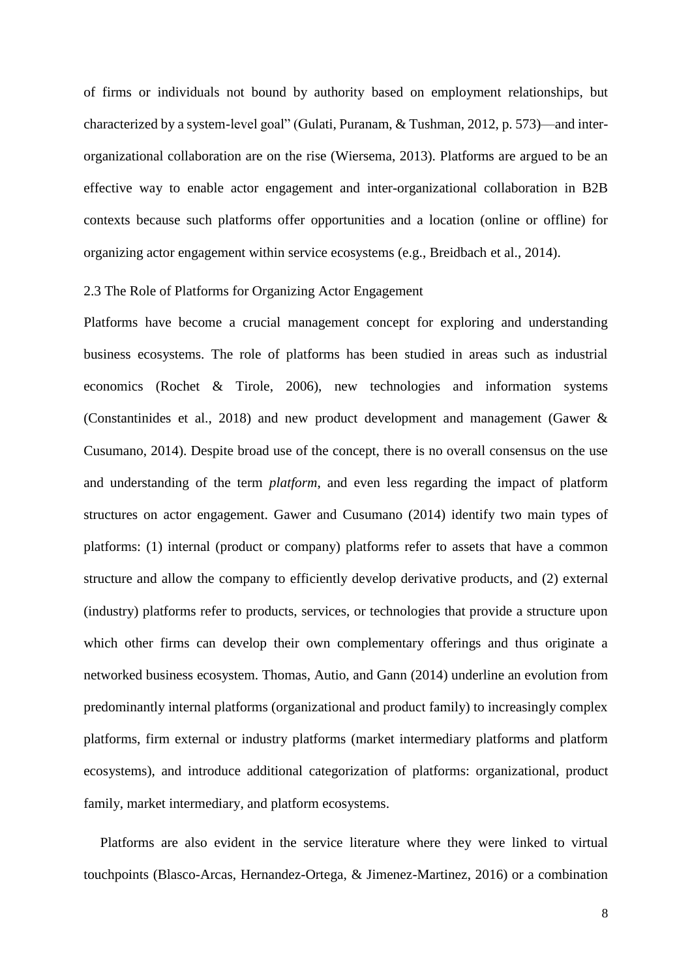of firms or individuals not bound by authority based on employment relationships, but characterized by a system-level goal" (Gulati, Puranam, & Tushman, 2012, p. 573)—and interorganizational collaboration are on the rise (Wiersema, 2013). Platforms are argued to be an effective way to enable actor engagement and inter-organizational collaboration in B2B contexts because such platforms offer opportunities and a location (online or offline) for organizing actor engagement within service ecosystems (e.g., Breidbach et al., 2014).

#### 2.3 The Role of Platforms for Organizing Actor Engagement

Platforms have become a crucial management concept for exploring and understanding business ecosystems. The role of platforms has been studied in areas such as industrial economics (Rochet & Tirole, 2006), new technologies and information systems (Constantinides et al., 2018) and new product development and management (Gawer & Cusumano, 2014). Despite broad use of the concept, there is no overall consensus on the use and understanding of the term *platform*, and even less regarding the impact of platform structures on actor engagement. Gawer and Cusumano (2014) identify two main types of platforms: (1) internal (product or company) platforms refer to assets that have a common structure and allow the company to efficiently develop derivative products, and (2) external (industry) platforms refer to products, services, or technologies that provide a structure upon which other firms can develop their own complementary offerings and thus originate a networked business ecosystem. Thomas, Autio, and Gann (2014) underline an evolution from predominantly internal platforms (organizational and product family) to increasingly complex platforms, firm external or industry platforms (market intermediary platforms and platform ecosystems), and introduce additional categorization of platforms: organizational, product family, market intermediary, and platform ecosystems.

Platforms are also evident in the service literature where they were linked to virtual touchpoints (Blasco-Arcas, Hernandez-Ortega, & Jimenez-Martinez, 2016) or a combination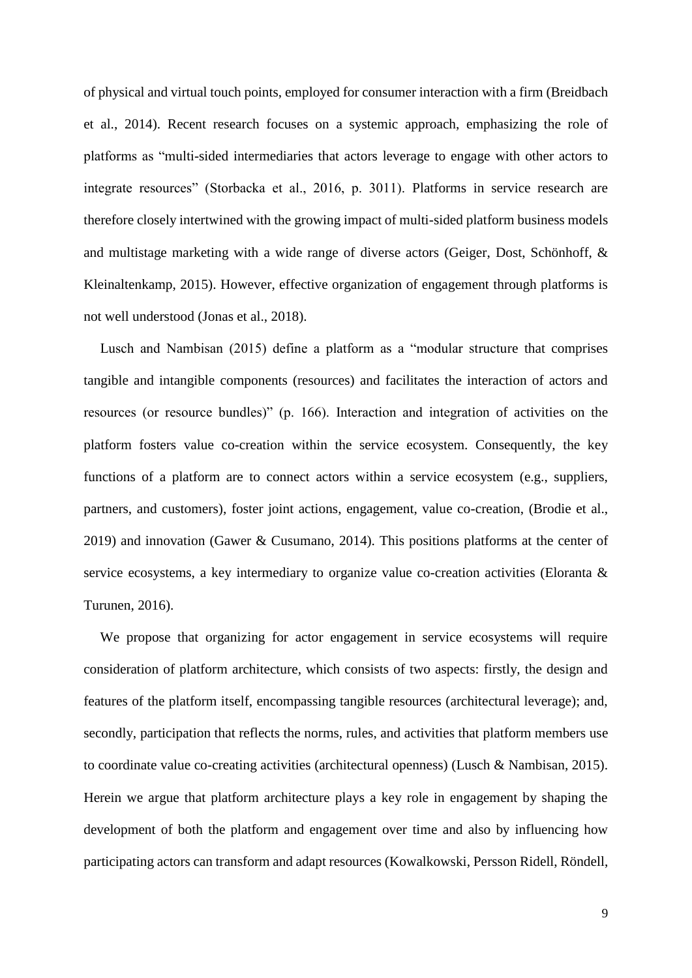of physical and virtual touch points, employed for consumer interaction with a firm (Breidbach et al., 2014). Recent research focuses on a systemic approach, emphasizing the role of platforms as "multi-sided intermediaries that actors leverage to engage with other actors to integrate resources" (Storbacka et al., 2016, p. 3011). Platforms in service research are therefore closely intertwined with the growing impact of multi-sided platform business models and multistage marketing with a wide range of diverse actors (Geiger, Dost, Schönhoff, & Kleinaltenkamp, 2015). However, effective organization of engagement through platforms is not well understood (Jonas et al., 2018).

Lusch and Nambisan (2015) define a platform as a "modular structure that comprises tangible and intangible components (resources) and facilitates the interaction of actors and resources (or resource bundles)" (p. 166). Interaction and integration of activities on the platform fosters value co-creation within the service ecosystem. Consequently, the key functions of a platform are to connect actors within a service ecosystem (e.g., suppliers, partners, and customers), foster joint actions, engagement, value co-creation, (Brodie et al., 2019) and innovation (Gawer & Cusumano, 2014). This positions platforms at the center of service ecosystems, a key intermediary to organize value co-creation activities (Eloranta & Turunen, 2016).

We propose that organizing for actor engagement in service ecosystems will require consideration of platform architecture, which consists of two aspects: firstly, the design and features of the platform itself, encompassing tangible resources (architectural leverage); and, secondly, participation that reflects the norms, rules, and activities that platform members use to coordinate value co-creating activities (architectural openness) (Lusch & Nambisan, 2015). Herein we argue that platform architecture plays a key role in engagement by shaping the development of both the platform and engagement over time and also by influencing how participating actors can transform and adapt resources (Kowalkowski, Persson Ridell, Röndell,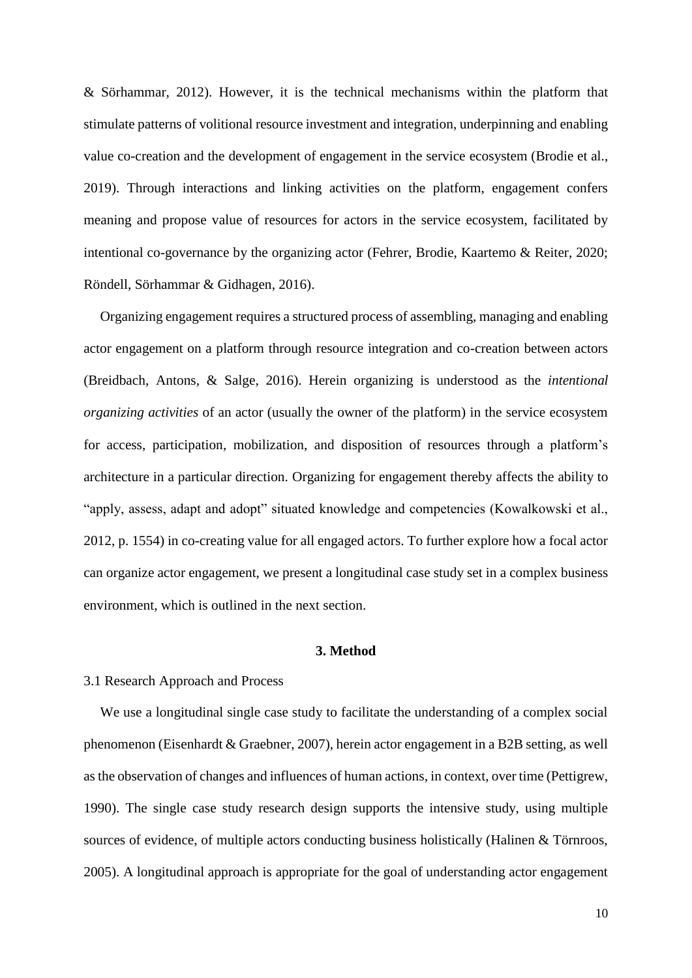& Sörhammar, 2012). However, it is the technical mechanisms within the platform that stimulate patterns of volitional resource investment and integration, underpinning and enabling value co-creation and the development of engagement in the service ecosystem (Brodie et al., 2019). Through interactions and linking activities on the platform, engagement confers meaning and propose value of resources for actors in the service ecosystem, facilitated by intentional co-governance by the organizing actor (Fehrer, Brodie, Kaartemo & Reiter, 2020; Röndell, Sörhammar & Gidhagen, 2016).

Organizing engagement requires a structured process of assembling, managing and enabling actor engagement on a platform through resource integration and co-creation between actors (Breidbach, Antons, & Salge, 2016). Herein organizing is understood as the *intentional organizing activities* of an actor (usually the owner of the platform) in the service ecosystem for access, participation, mobilization, and disposition of resources through a platform's architecture in a particular direction. Organizing for engagement thereby affects the ability to "apply, assess, adapt and adopt" situated knowledge and competencies (Kowalkowski et al., 2012, p. 1554) in co-creating value for all engaged actors. To further explore how a focal actor can organize actor engagement, we present a longitudinal case study set in a complex business environment, which is outlined in the next section.

#### **3. Method**

#### 3.1 Research Approach and Process

We use a longitudinal single case study to facilitate the understanding of a complex social phenomenon (Eisenhardt & Graebner, 2007), herein actor engagement in a B2B setting, as well as the observation of changes and influences of human actions, in context, over time (Pettigrew, 1990). The single case study research design supports the intensive study, using multiple sources of evidence, of multiple actors conducting business holistically (Halinen & Törnroos, 2005). A longitudinal approach is appropriate for the goal of understanding actor engagement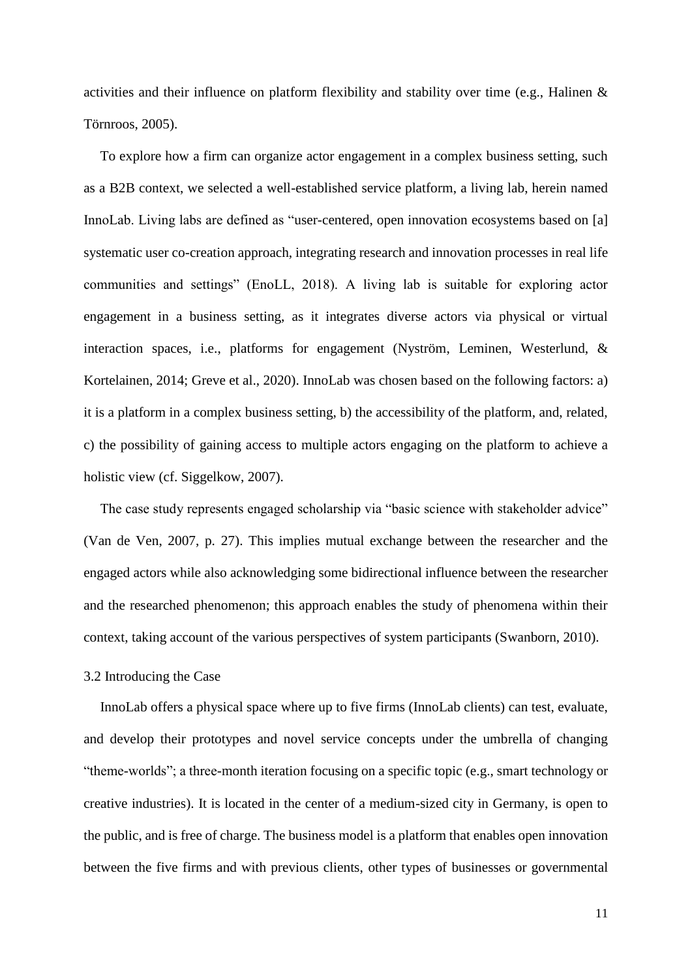activities and their influence on platform flexibility and stability over time (e.g., Halinen & Törnroos, 2005).

To explore how a firm can organize actor engagement in a complex business setting, such as a B2B context, we selected a well-established service platform, a living lab, herein named InnoLab. Living labs are defined as "user-centered, open innovation ecosystems based on [a] systematic user co-creation approach, integrating research and innovation processes in real life communities and settings" (EnoLL, 2018). A living lab is suitable for exploring actor engagement in a business setting, as it integrates diverse actors via physical or virtual interaction spaces, i.e., platforms for engagement (Nyström, Leminen, Westerlund, & Kortelainen, 2014; Greve et al., 2020). InnoLab was chosen based on the following factors: a) it is a platform in a complex business setting, b) the accessibility of the platform, and, related, c) the possibility of gaining access to multiple actors engaging on the platform to achieve a holistic view (cf. Siggelkow, 2007).

The case study represents engaged scholarship via "basic science with stakeholder advice" (Van de Ven, 2007, p. 27). This implies mutual exchange between the researcher and the engaged actors while also acknowledging some bidirectional influence between the researcher and the researched phenomenon; this approach enables the study of phenomena within their context, taking account of the various perspectives of system participants (Swanborn, 2010).

#### 3.2 Introducing the Case

InnoLab offers a physical space where up to five firms (InnoLab clients) can test, evaluate, and develop their prototypes and novel service concepts under the umbrella of changing "theme-worlds"; a three-month iteration focusing on a specific topic (e.g., smart technology or creative industries). It is located in the center of a medium-sized city in Germany, is open to the public, and is free of charge. The business model is a platform that enables open innovation between the five firms and with previous clients, other types of businesses or governmental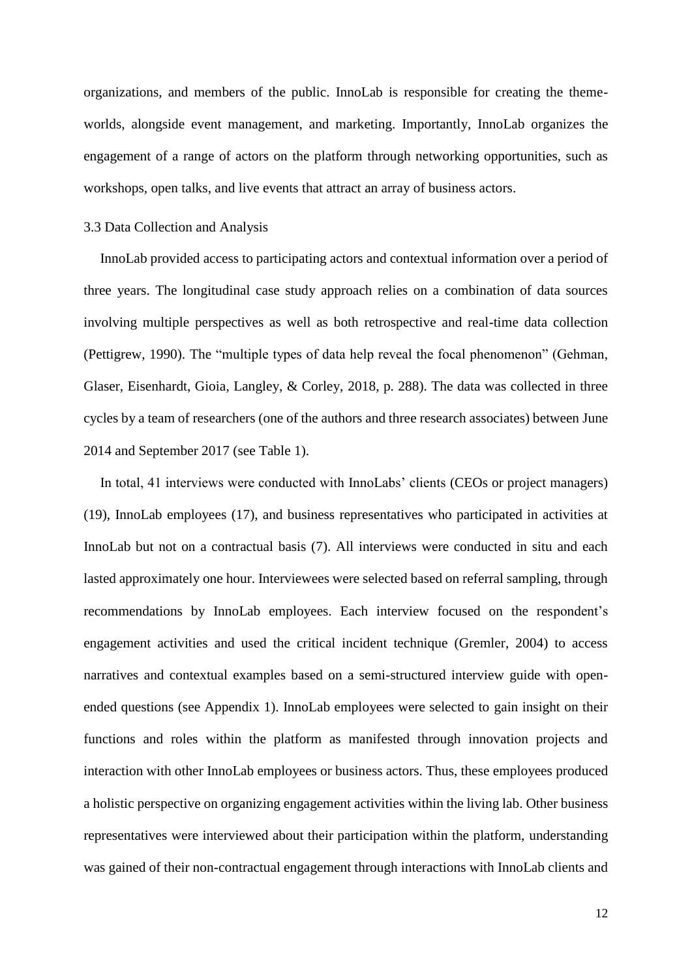organizations, and members of the public. InnoLab is responsible for creating the themeworlds, alongside event management, and marketing. Importantly, InnoLab organizes the engagement of a range of actors on the platform through networking opportunities, such as workshops, open talks, and live events that attract an array of business actors.

#### 3.3 Data Collection and Analysis

InnoLab provided access to participating actors and contextual information over a period of three years. The longitudinal case study approach relies on a combination of data sources involving multiple perspectives as well as both retrospective and real-time data collection (Pettigrew, 1990). The "multiple types of data help reveal the focal phenomenon" (Gehman, Glaser, Eisenhardt, Gioia, Langley, & Corley, 2018, p. 288). The data was collected in three cycles by a team of researchers (one of the authors and three research associates) between June 2014 and September 2017 (see Table 1).

In total, 41 interviews were conducted with InnoLabs' clients (CEOs or project managers) (19), InnoLab employees (17), and business representatives who participated in activities at InnoLab but not on a contractual basis (7). All interviews were conducted in situ and each lasted approximately one hour. Interviewees were selected based on referral sampling, through recommendations by InnoLab employees. Each interview focused on the respondent's engagement activities and used the critical incident technique (Gremler, 2004) to access narratives and contextual examples based on a semi-structured interview guide with openended questions (see Appendix 1). InnoLab employees were selected to gain insight on their functions and roles within the platform as manifested through innovation projects and interaction with other InnoLab employees or business actors. Thus, these employees produced a holistic perspective on organizing engagement activities within the living lab. Other business representatives were interviewed about their participation within the platform, understanding was gained of their non-contractual engagement through interactions with InnoLab clients and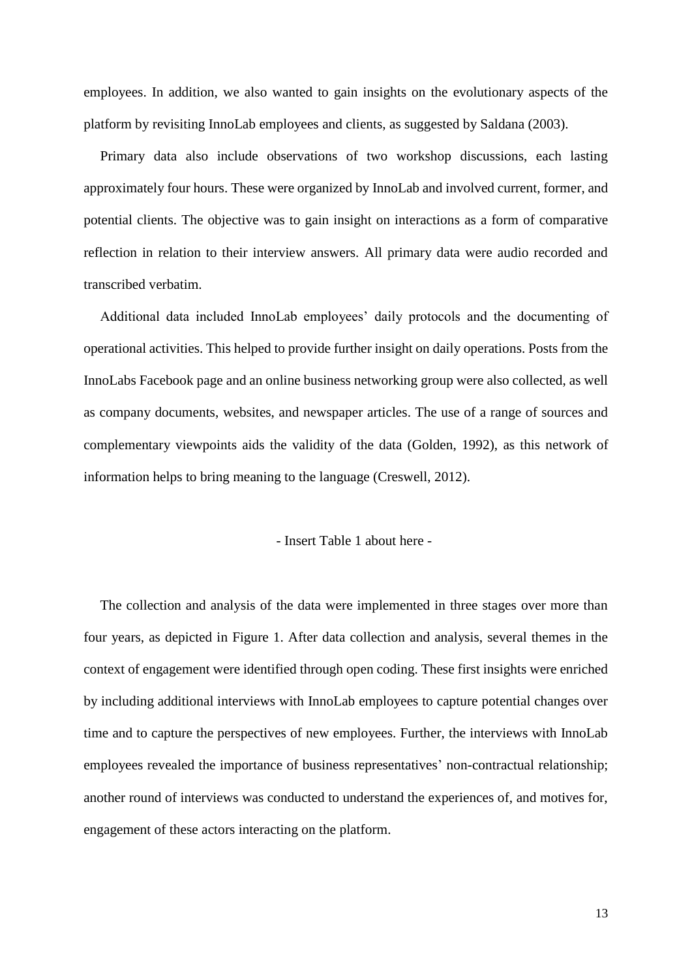employees. In addition, we also wanted to gain insights on the evolutionary aspects of the platform by revisiting InnoLab employees and clients, as suggested by Saldana (2003).

Primary data also include observations of two workshop discussions, each lasting approximately four hours. These were organized by InnoLab and involved current, former, and potential clients. The objective was to gain insight on interactions as a form of comparative reflection in relation to their interview answers. All primary data were audio recorded and transcribed verbatim.

Additional data included InnoLab employees' daily protocols and the documenting of operational activities. This helped to provide further insight on daily operations. Posts from the InnoLabs Facebook page and an online business networking group were also collected, as well as company documents, websites, and newspaper articles. The use of a range of sources and complementary viewpoints aids the validity of the data (Golden, 1992), as this network of information helps to bring meaning to the language (Creswell, 2012).

#### - Insert Table 1 about here -

The collection and analysis of the data were implemented in three stages over more than four years, as depicted in Figure 1. After data collection and analysis, several themes in the context of engagement were identified through open coding. These first insights were enriched by including additional interviews with InnoLab employees to capture potential changes over time and to capture the perspectives of new employees. Further, the interviews with InnoLab employees revealed the importance of business representatives' non-contractual relationship; another round of interviews was conducted to understand the experiences of, and motives for, engagement of these actors interacting on the platform.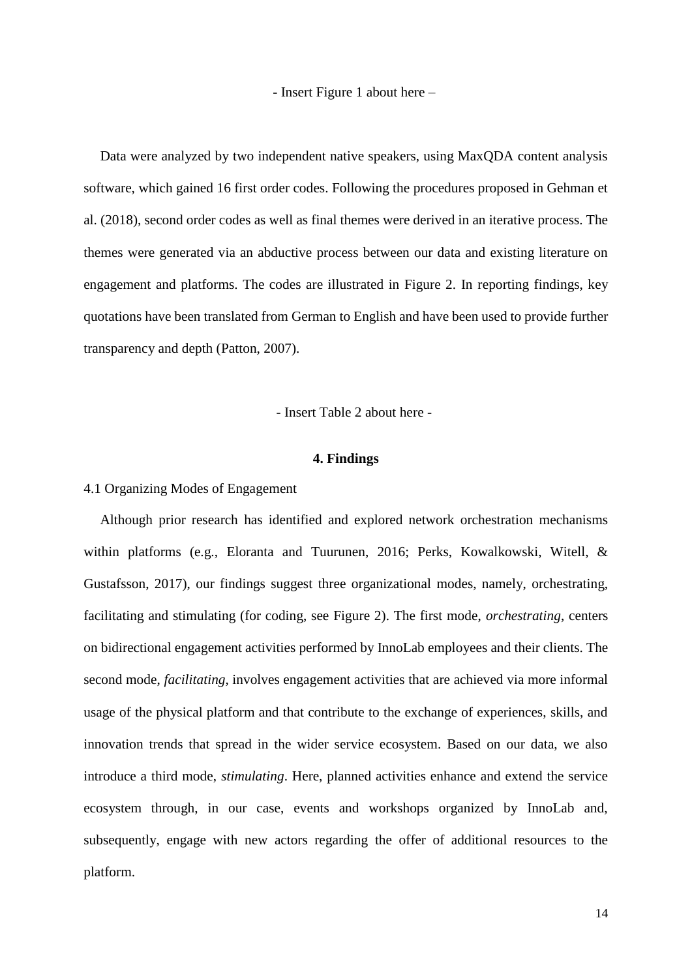- Insert Figure 1 about here –

Data were analyzed by two independent native speakers, using MaxQDA content analysis software, which gained 16 first order codes. Following the procedures proposed in Gehman et al. (2018), second order codes as well as final themes were derived in an iterative process. The themes were generated via an abductive process between our data and existing literature on engagement and platforms. The codes are illustrated in Figure 2. In reporting findings, key quotations have been translated from German to English and have been used to provide further transparency and depth (Patton, 2007).

- Insert Table 2 about here -

#### **4. Findings**

### 4.1 Organizing Modes of Engagement

Although prior research has identified and explored network orchestration mechanisms within platforms (e.g., Eloranta and Tuurunen, 2016; Perks, Kowalkowski, Witell, & Gustafsson, 2017), our findings suggest three organizational modes, namely, orchestrating, facilitating and stimulating (for coding, see Figure 2). The first mode, *orchestrating*, centers on bidirectional engagement activities performed by InnoLab employees and their clients. The second mode, *facilitating*, involves engagement activities that are achieved via more informal usage of the physical platform and that contribute to the exchange of experiences, skills, and innovation trends that spread in the wider service ecosystem. Based on our data, we also introduce a third mode, *stimulating*. Here, planned activities enhance and extend the service ecosystem through, in our case, events and workshops organized by InnoLab and, subsequently, engage with new actors regarding the offer of additional resources to the platform.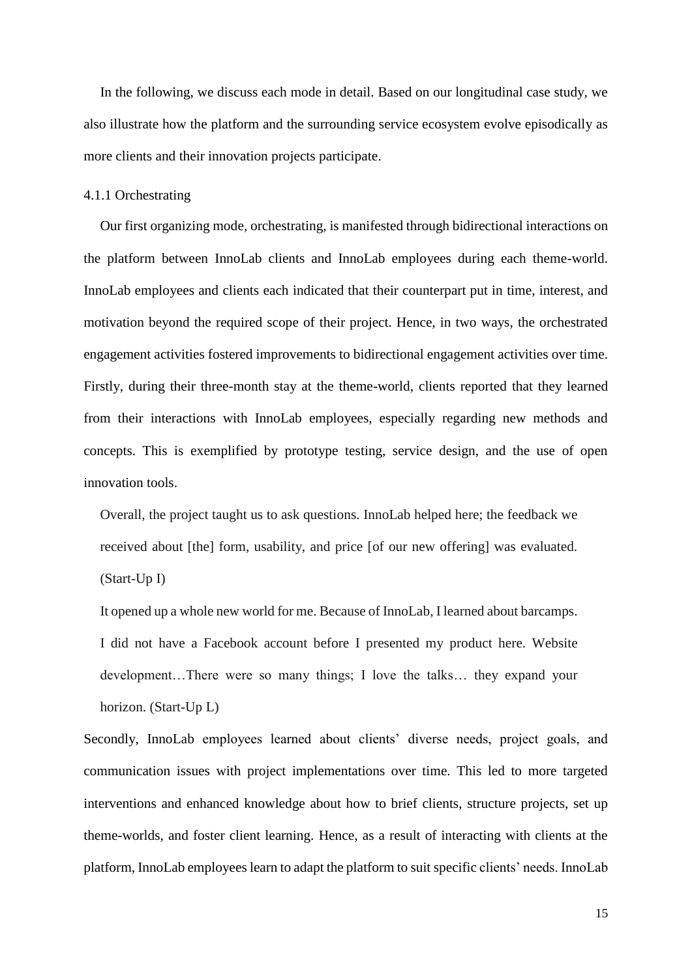In the following, we discuss each mode in detail. Based on our longitudinal case study, we also illustrate how the platform and the surrounding service ecosystem evolve episodically as more clients and their innovation projects participate.

#### 4.1.1 Orchestrating

Our first organizing mode, orchestrating, is manifested through bidirectional interactions on the platform between InnoLab clients and InnoLab employees during each theme-world. InnoLab employees and clients each indicated that their counterpart put in time, interest, and motivation beyond the required scope of their project. Hence, in two ways, the orchestrated engagement activities fostered improvements to bidirectional engagement activities over time. Firstly, during their three-month stay at the theme-world, clients reported that they learned from their interactions with InnoLab employees, especially regarding new methods and concepts. This is exemplified by prototype testing, service design, and the use of open innovation tools.

Overall, the project taught us to ask questions. InnoLab helped here; the feedback we received about [the] form, usability, and price [of our new offering] was evaluated. (Start-Up I)

It opened up a whole new world for me. Because of InnoLab, I learned about barcamps. I did not have a Facebook account before I presented my product here. Website development…There were so many things; I love the talks… they expand your horizon. (Start-Up L)

Secondly, InnoLab employees learned about clients' diverse needs, project goals, and communication issues with project implementations over time. This led to more targeted interventions and enhanced knowledge about how to brief clients, structure projects, set up theme-worlds, and foster client learning. Hence, as a result of interacting with clients at the platform, InnoLab employees learn to adapt the platform to suit specific clients' needs. InnoLab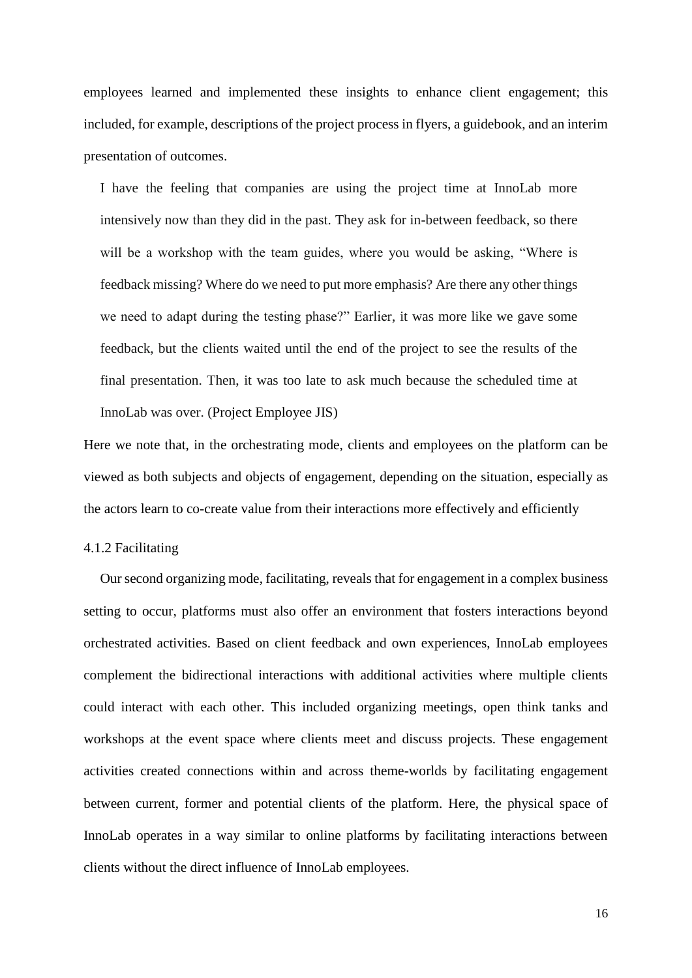employees learned and implemented these insights to enhance client engagement; this included, for example, descriptions of the project process in flyers, a guidebook, and an interim presentation of outcomes.

I have the feeling that companies are using the project time at InnoLab more intensively now than they did in the past. They ask for in-between feedback, so there will be a workshop with the team guides, where you would be asking, "Where is feedback missing? Where do we need to put more emphasis? Are there any other things we need to adapt during the testing phase?" Earlier, it was more like we gave some feedback, but the clients waited until the end of the project to see the results of the final presentation. Then, it was too late to ask much because the scheduled time at InnoLab was over. (Project Employee JIS)

Here we note that, in the orchestrating mode, clients and employees on the platform can be viewed as both subjects and objects of engagement, depending on the situation, especially as the actors learn to co-create value from their interactions more effectively and efficiently

#### 4.1.2 Facilitating

Our second organizing mode, facilitating, reveals that for engagement in a complex business setting to occur, platforms must also offer an environment that fosters interactions beyond orchestrated activities. Based on client feedback and own experiences, InnoLab employees complement the bidirectional interactions with additional activities where multiple clients could interact with each other. This included organizing meetings, open think tanks and workshops at the event space where clients meet and discuss projects. These engagement activities created connections within and across theme-worlds by facilitating engagement between current, former and potential clients of the platform. Here, the physical space of InnoLab operates in a way similar to online platforms by facilitating interactions between clients without the direct influence of InnoLab employees.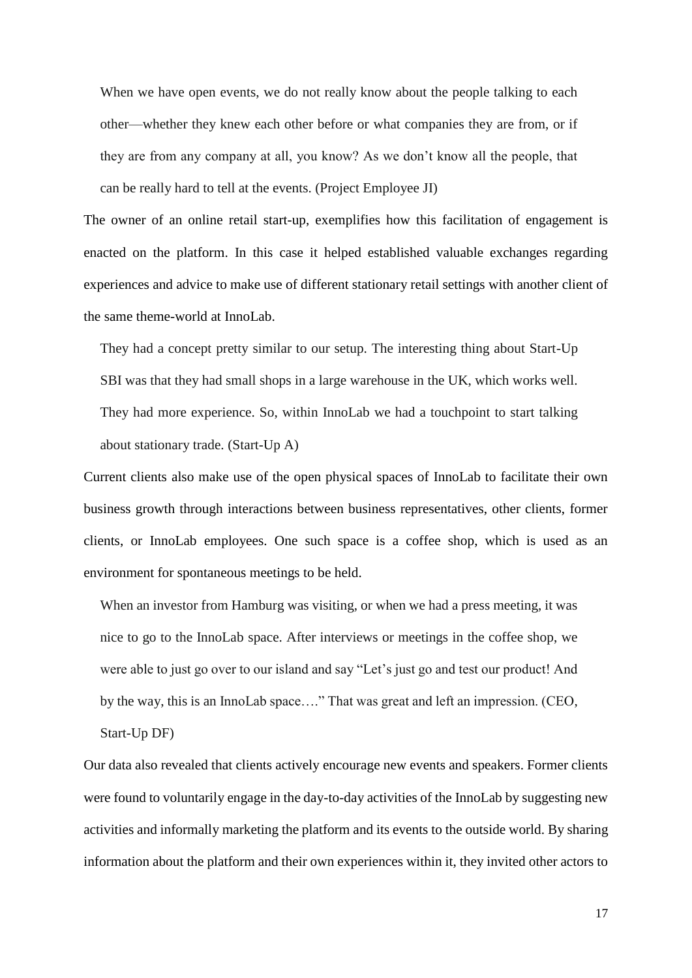When we have open events, we do not really know about the people talking to each other—whether they knew each other before or what companies they are from, or if they are from any company at all, you know? As we don't know all the people, that can be really hard to tell at the events. (Project Employee JI)

The owner of an online retail start-up, exemplifies how this facilitation of engagement is enacted on the platform. In this case it helped established valuable exchanges regarding experiences and advice to make use of different stationary retail settings with another client of the same theme-world at InnoLab.

They had a concept pretty similar to our setup. The interesting thing about Start-Up SBI was that they had small shops in a large warehouse in the UK, which works well. They had more experience. So, within InnoLab we had a touchpoint to start talking about stationary trade. (Start-Up A)

Current clients also make use of the open physical spaces of InnoLab to facilitate their own business growth through interactions between business representatives, other clients, former clients, or InnoLab employees. One such space is a coffee shop, which is used as an environment for spontaneous meetings to be held.

When an investor from Hamburg was visiting, or when we had a press meeting, it was nice to go to the InnoLab space. After interviews or meetings in the coffee shop, we were able to just go over to our island and say "Let's just go and test our product! And by the way, this is an InnoLab space…." That was great and left an impression. (CEO, Start-Up DF)

Our data also revealed that clients actively encourage new events and speakers. Former clients were found to voluntarily engage in the day-to-day activities of the InnoLab by suggesting new activities and informally marketing the platform and its events to the outside world. By sharing information about the platform and their own experiences within it, they invited other actors to

17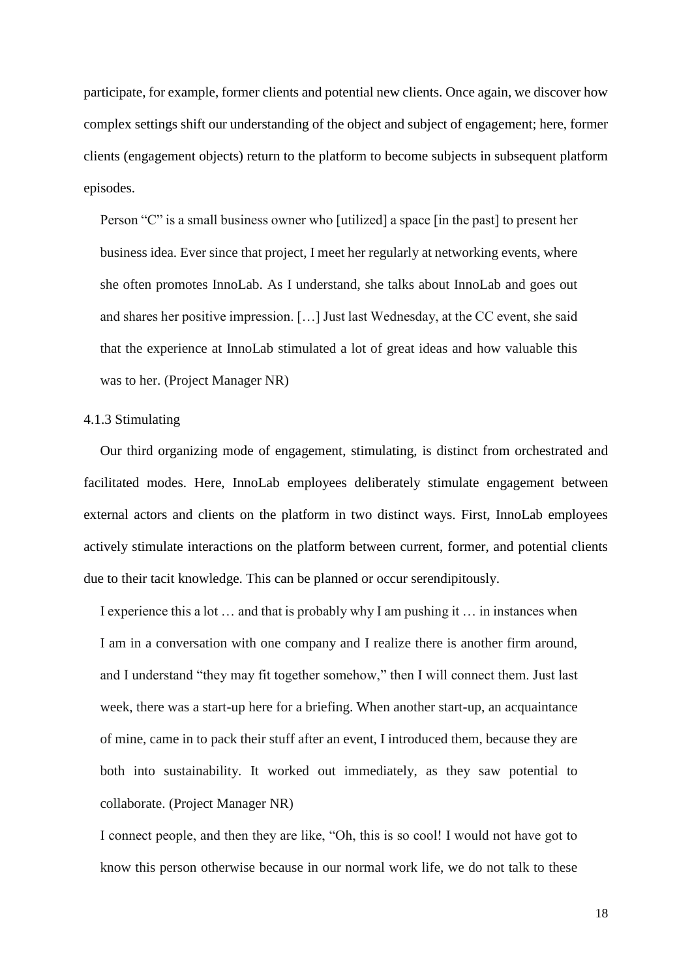participate, for example, former clients and potential new clients. Once again, we discover how complex settings shift our understanding of the object and subject of engagement; here, former clients (engagement objects) return to the platform to become subjects in subsequent platform episodes.

Person "C" is a small business owner who [utilized] a space [in the past] to present her business idea. Ever since that project, I meet her regularly at networking events, where she often promotes InnoLab. As I understand, she talks about InnoLab and goes out and shares her positive impression. […] Just last Wednesday, at the CC event, she said that the experience at InnoLab stimulated a lot of great ideas and how valuable this was to her. (Project Manager NR)

#### 4.1.3 Stimulating

Our third organizing mode of engagement, stimulating, is distinct from orchestrated and facilitated modes. Here, InnoLab employees deliberately stimulate engagement between external actors and clients on the platform in two distinct ways. First, InnoLab employees actively stimulate interactions on the platform between current, former, and potential clients due to their tacit knowledge. This can be planned or occur serendipitously.

I experience this a lot … and that is probably why I am pushing it … in instances when I am in a conversation with one company and I realize there is another firm around, and I understand "they may fit together somehow," then I will connect them. Just last week, there was a start-up here for a briefing. When another start-up, an acquaintance of mine, came in to pack their stuff after an event, I introduced them, because they are both into sustainability. It worked out immediately, as they saw potential to collaborate. (Project Manager NR)

I connect people, and then they are like, "Oh, this is so cool! I would not have got to know this person otherwise because in our normal work life, we do not talk to these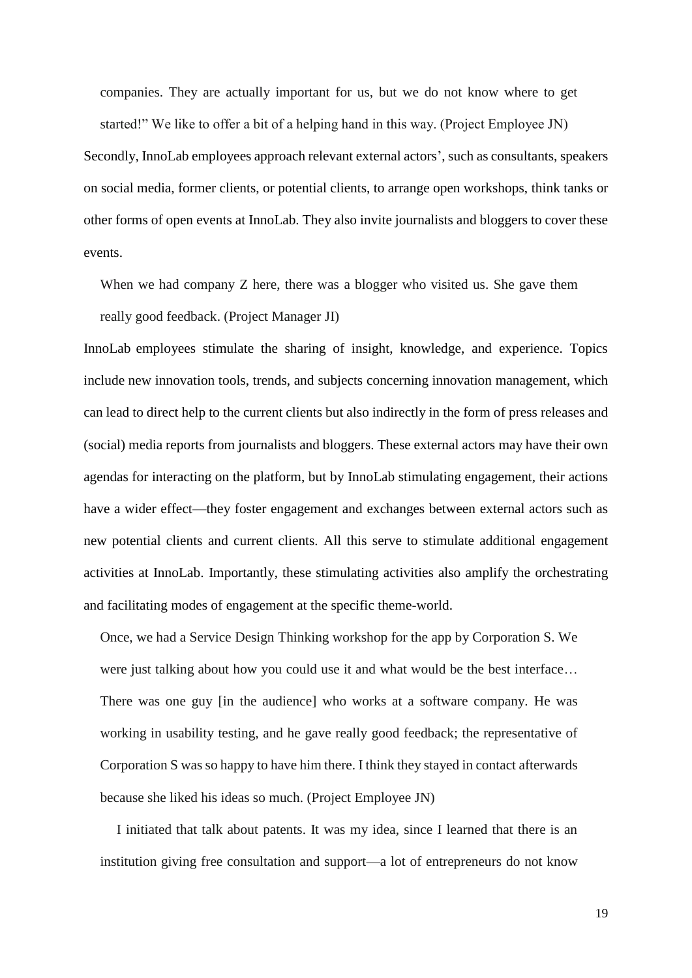companies. They are actually important for us, but we do not know where to get started!" We like to offer a bit of a helping hand in this way. (Project Employee JN)

Secondly, InnoLab employees approach relevant external actors', such as consultants, speakers on social media, former clients, or potential clients, to arrange open workshops, think tanks or other forms of open events at InnoLab. They also invite journalists and bloggers to cover these events.

When we had company Z here, there was a blogger who visited us. She gave them really good feedback. (Project Manager JI)

InnoLab employees stimulate the sharing of insight, knowledge, and experience. Topics include new innovation tools, trends, and subjects concerning innovation management, which can lead to direct help to the current clients but also indirectly in the form of press releases and (social) media reports from journalists and bloggers. These external actors may have their own agendas for interacting on the platform, but by InnoLab stimulating engagement, their actions have a wider effect—they foster engagement and exchanges between external actors such as new potential clients and current clients. All this serve to stimulate additional engagement activities at InnoLab. Importantly, these stimulating activities also amplify the orchestrating and facilitating modes of engagement at the specific theme-world.

Once, we had a Service Design Thinking workshop for the app by Corporation S. We were just talking about how you could use it and what would be the best interface… There was one guy [in the audience] who works at a software company. He was working in usability testing, and he gave really good feedback; the representative of Corporation S was so happy to have him there. I think they stayed in contact afterwards because she liked his ideas so much. (Project Employee JN)

I initiated that talk about patents. It was my idea, since I learned that there is an institution giving free consultation and support—a lot of entrepreneurs do not know

19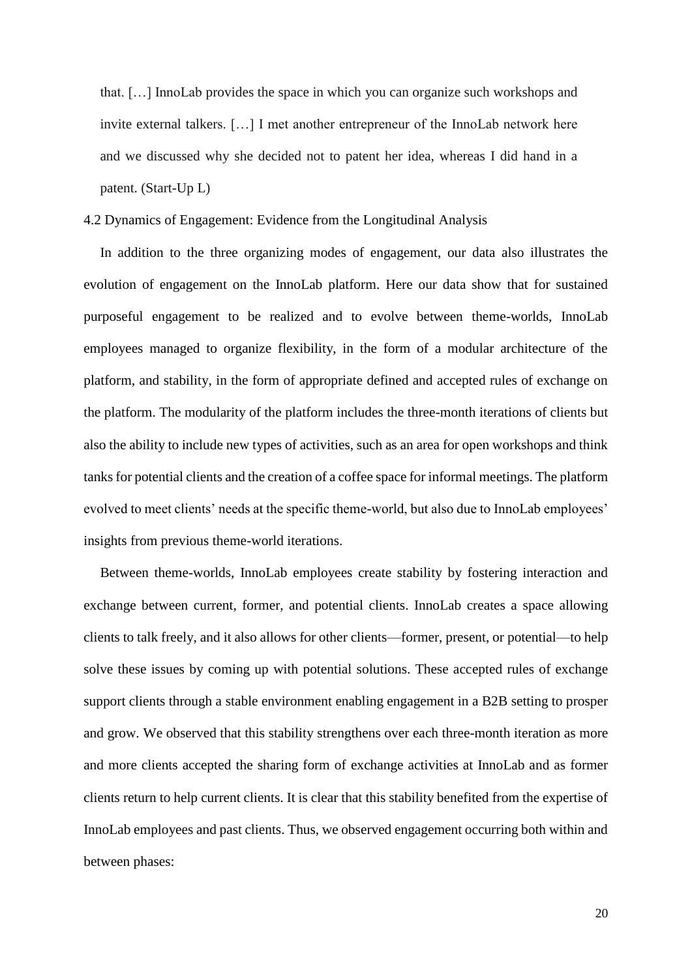that. […] InnoLab provides the space in which you can organize such workshops and invite external talkers. […] I met another entrepreneur of the InnoLab network here and we discussed why she decided not to patent her idea, whereas I did hand in a patent. (Start-Up L)

#### 4.2 Dynamics of Engagement: Evidence from the Longitudinal Analysis

In addition to the three organizing modes of engagement, our data also illustrates the evolution of engagement on the InnoLab platform. Here our data show that for sustained purposeful engagement to be realized and to evolve between theme-worlds, InnoLab employees managed to organize flexibility, in the form of a modular architecture of the platform, and stability, in the form of appropriate defined and accepted rules of exchange on the platform. The modularity of the platform includes the three-month iterations of clients but also the ability to include new types of activities, such as an area for open workshops and think tanks for potential clients and the creation of a coffee space for informal meetings. The platform evolved to meet clients' needs at the specific theme-world, but also due to InnoLab employees' insights from previous theme-world iterations.

Between theme-worlds, InnoLab employees create stability by fostering interaction and exchange between current, former, and potential clients. InnoLab creates a space allowing clients to talk freely, and it also allows for other clients—former, present, or potential—to help solve these issues by coming up with potential solutions. These accepted rules of exchange support clients through a stable environment enabling engagement in a B2B setting to prosper and grow. We observed that this stability strengthens over each three-month iteration as more and more clients accepted the sharing form of exchange activities at InnoLab and as former clients return to help current clients. It is clear that this stability benefited from the expertise of InnoLab employees and past clients. Thus, we observed engagement occurring both within and between phases: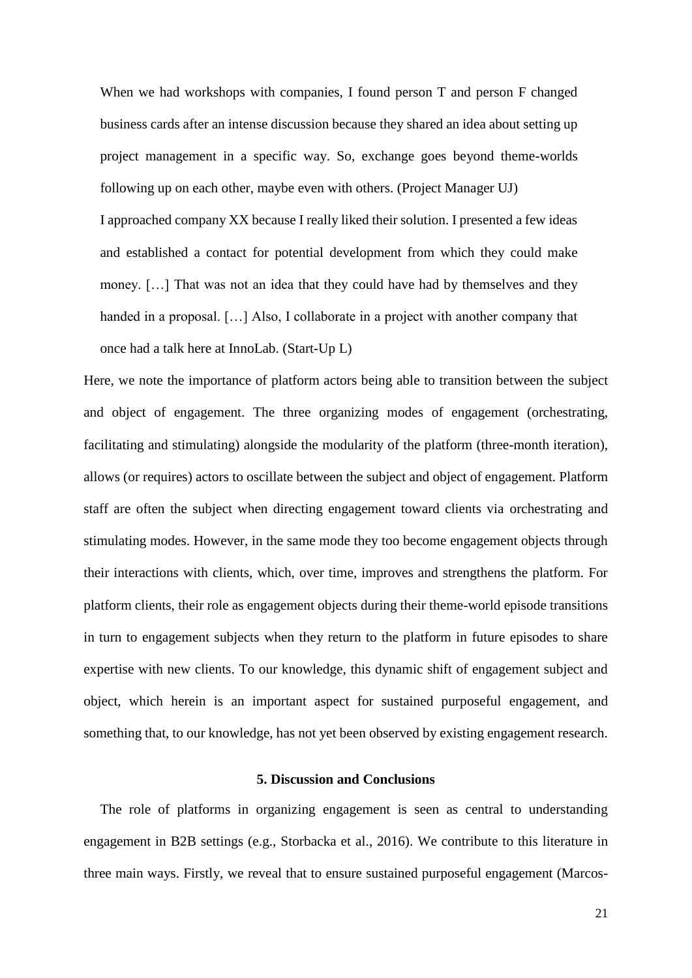When we had workshops with companies, I found person T and person F changed business cards after an intense discussion because they shared an idea about setting up project management in a specific way. So, exchange goes beyond theme-worlds following up on each other, maybe even with others. (Project Manager UJ)

I approached company XX because I really liked their solution. I presented a few ideas and established a contact for potential development from which they could make money. […] That was not an idea that they could have had by themselves and they handed in a proposal. [...] Also, I collaborate in a project with another company that once had a talk here at InnoLab. (Start-Up L)

Here, we note the importance of platform actors being able to transition between the subject and object of engagement. The three organizing modes of engagement (orchestrating, facilitating and stimulating) alongside the modularity of the platform (three-month iteration), allows (or requires) actors to oscillate between the subject and object of engagement. Platform staff are often the subject when directing engagement toward clients via orchestrating and stimulating modes. However, in the same mode they too become engagement objects through their interactions with clients, which, over time, improves and strengthens the platform. For platform clients, their role as engagement objects during their theme-world episode transitions in turn to engagement subjects when they return to the platform in future episodes to share expertise with new clients. To our knowledge, this dynamic shift of engagement subject and object, which herein is an important aspect for sustained purposeful engagement, and something that, to our knowledge, has not yet been observed by existing engagement research.

#### **5. Discussion and Conclusions**

The role of platforms in organizing engagement is seen as central to understanding engagement in B2B settings (e.g., Storbacka et al., 2016). We contribute to this literature in three main ways. Firstly, we reveal that to ensure sustained purposeful engagement (Marcos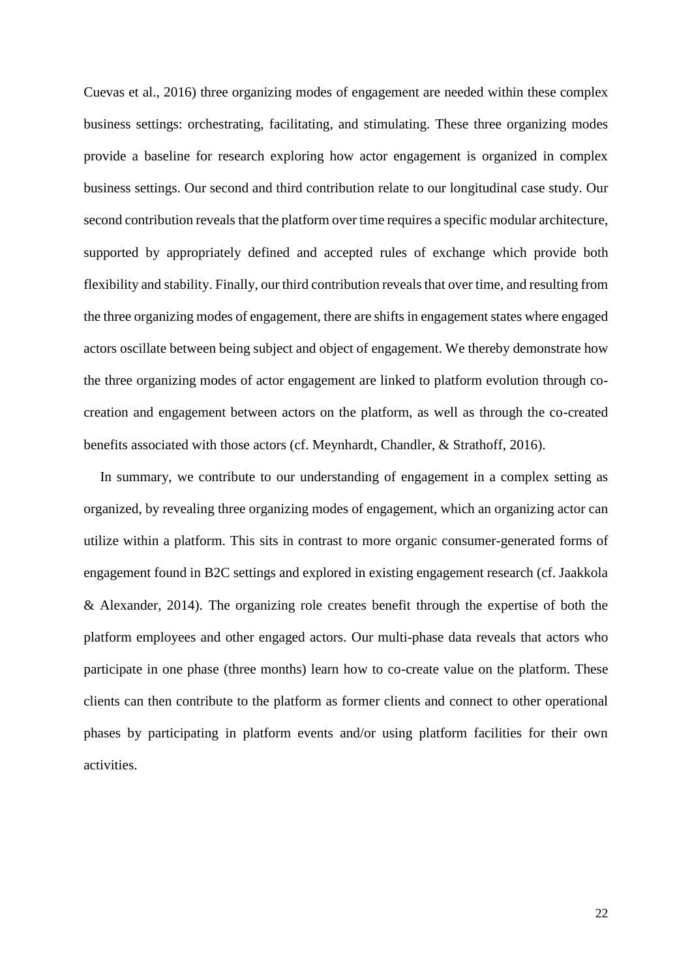Cuevas et al., 2016) three organizing modes of engagement are needed within these complex business settings: orchestrating, facilitating, and stimulating. These three organizing modes provide a baseline for research exploring how actor engagement is organized in complex business settings. Our second and third contribution relate to our longitudinal case study. Our second contribution reveals that the platform over time requires a specific modular architecture, supported by appropriately defined and accepted rules of exchange which provide both flexibility and stability. Finally, our third contribution reveals that over time, and resulting from the three organizing modes of engagement, there are shifts in engagement states where engaged actors oscillate between being subject and object of engagement. We thereby demonstrate how the three organizing modes of actor engagement are linked to platform evolution through cocreation and engagement between actors on the platform, as well as through the co-created benefits associated with those actors (cf. Meynhardt, Chandler, & Strathoff, 2016).

In summary, we contribute to our understanding of engagement in a complex setting as organized, by revealing three organizing modes of engagement, which an organizing actor can utilize within a platform. This sits in contrast to more organic consumer-generated forms of engagement found in B2C settings and explored in existing engagement research (cf. Jaakkola & Alexander, 2014). The organizing role creates benefit through the expertise of both the platform employees and other engaged actors. Our multi-phase data reveals that actors who participate in one phase (three months) learn how to co-create value on the platform. These clients can then contribute to the platform as former clients and connect to other operational phases by participating in platform events and/or using platform facilities for their own activities.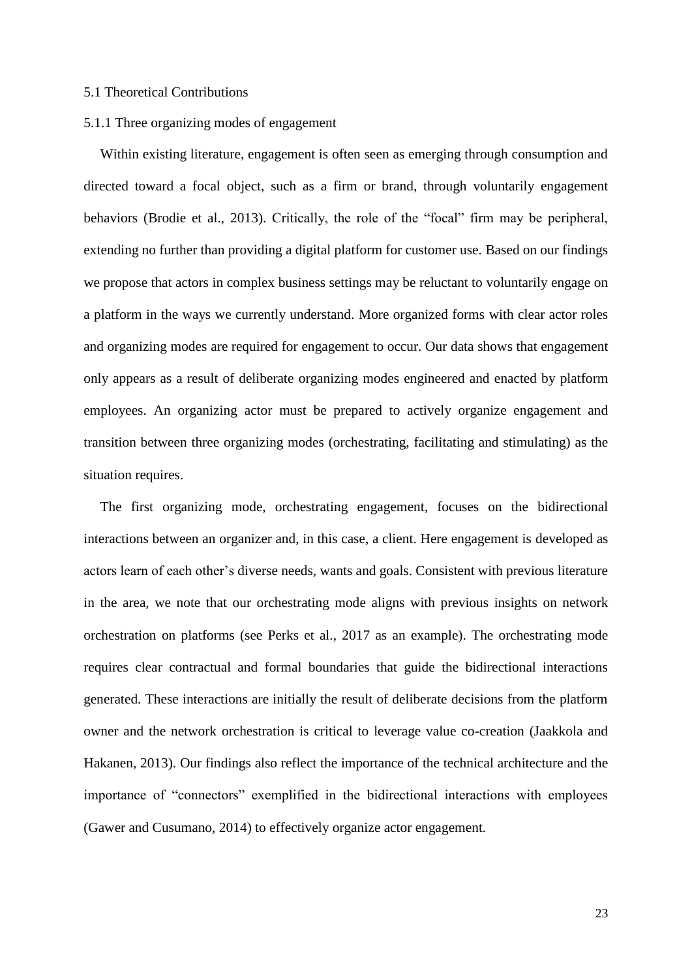#### 5.1 Theoretical Contributions

#### 5.1.1 Three organizing modes of engagement

Within existing literature, engagement is often seen as emerging through consumption and directed toward a focal object, such as a firm or brand, through voluntarily engagement behaviors (Brodie et al., 2013). Critically, the role of the "focal" firm may be peripheral, extending no further than providing a digital platform for customer use. Based on our findings we propose that actors in complex business settings may be reluctant to voluntarily engage on a platform in the ways we currently understand. More organized forms with clear actor roles and organizing modes are required for engagement to occur. Our data shows that engagement only appears as a result of deliberate organizing modes engineered and enacted by platform employees. An organizing actor must be prepared to actively organize engagement and transition between three organizing modes (orchestrating, facilitating and stimulating) as the situation requires.

The first organizing mode, orchestrating engagement, focuses on the bidirectional interactions between an organizer and, in this case, a client. Here engagement is developed as actors learn of each other's diverse needs, wants and goals. Consistent with previous literature in the area, we note that our orchestrating mode aligns with previous insights on network orchestration on platforms (see Perks et al., 2017 as an example). The orchestrating mode requires clear contractual and formal boundaries that guide the bidirectional interactions generated. These interactions are initially the result of deliberate decisions from the platform owner and the network orchestration is critical to leverage value co-creation (Jaakkola and Hakanen, 2013). Our findings also reflect the importance of the technical architecture and the importance of "connectors" exemplified in the bidirectional interactions with employees (Gawer and Cusumano, 2014) to effectively organize actor engagement.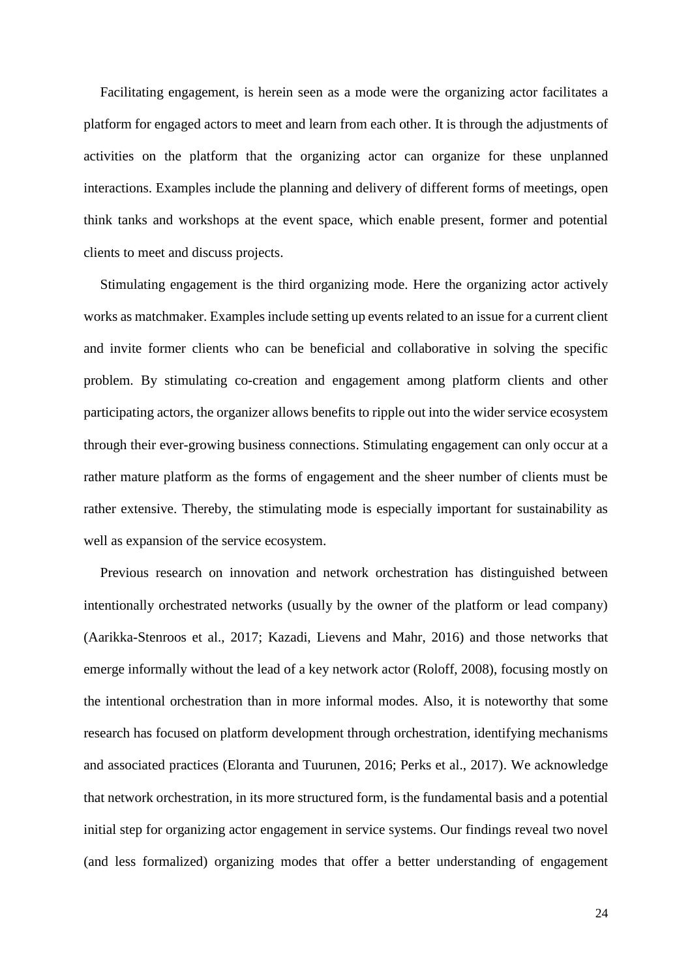Facilitating engagement, is herein seen as a mode were the organizing actor facilitates a platform for engaged actors to meet and learn from each other. It is through the adjustments of activities on the platform that the organizing actor can organize for these unplanned interactions. Examples include the planning and delivery of different forms of meetings, open think tanks and workshops at the event space, which enable present, former and potential clients to meet and discuss projects.

Stimulating engagement is the third organizing mode. Here the organizing actor actively works as matchmaker. Examples include setting up events related to an issue for a current client and invite former clients who can be beneficial and collaborative in solving the specific problem. By stimulating co-creation and engagement among platform clients and other participating actors, the organizer allows benefits to ripple out into the wider service ecosystem through their ever-growing business connections. Stimulating engagement can only occur at a rather mature platform as the forms of engagement and the sheer number of clients must be rather extensive. Thereby, the stimulating mode is especially important for sustainability as well as expansion of the service ecosystem.

Previous research on innovation and network orchestration has distinguished between intentionally orchestrated networks (usually by the owner of the platform or lead company) (Aarikka-Stenroos et al., 2017; Kazadi, Lievens and Mahr, 2016) and those networks that emerge informally without the lead of a key network actor (Roloff, 2008), focusing mostly on the intentional orchestration than in more informal modes. Also, it is noteworthy that some research has focused on platform development through orchestration, identifying mechanisms and associated practices (Eloranta and Tuurunen, 2016; Perks et al., 2017). We acknowledge that network orchestration, in its more structured form, is the fundamental basis and a potential initial step for organizing actor engagement in service systems. Our findings reveal two novel (and less formalized) organizing modes that offer a better understanding of engagement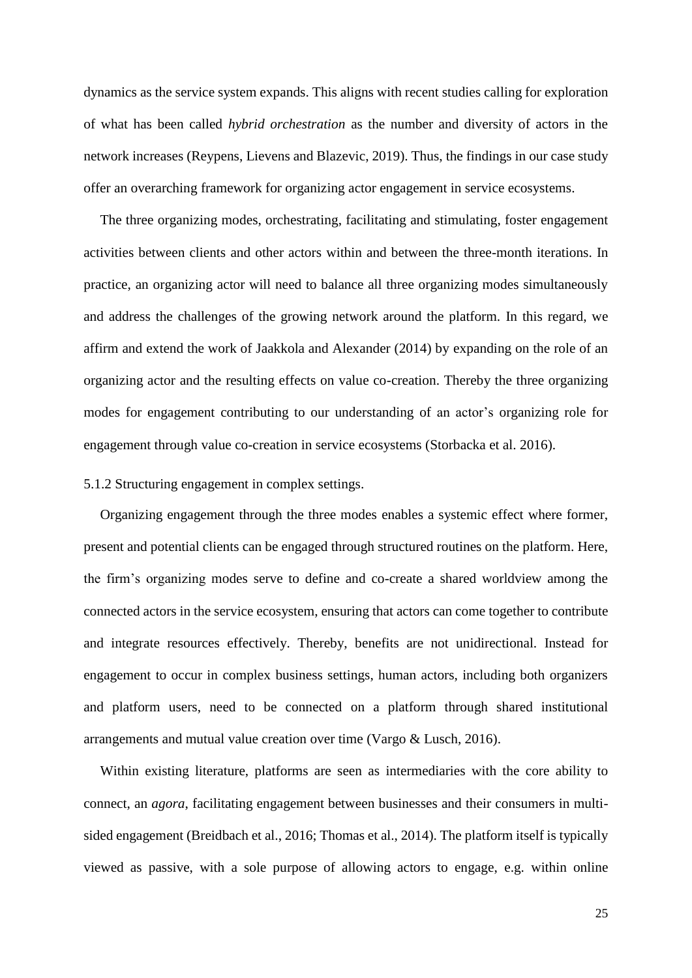dynamics as the service system expands. This aligns with recent studies calling for exploration of what has been called *hybrid orchestration* as the number and diversity of actors in the network increases (Reypens, Lievens and Blazevic, 2019). Thus, the findings in our case study offer an overarching framework for organizing actor engagement in service ecosystems.

The three organizing modes, orchestrating, facilitating and stimulating, foster engagement activities between clients and other actors within and between the three-month iterations. In practice, an organizing actor will need to balance all three organizing modes simultaneously and address the challenges of the growing network around the platform. In this regard, we affirm and extend the work of Jaakkola and Alexander (2014) by expanding on the role of an organizing actor and the resulting effects on value co-creation. Thereby the three organizing modes for engagement contributing to our understanding of an actor's organizing role for engagement through value co-creation in service ecosystems (Storbacka et al. 2016).

### 5.1.2 Structuring engagement in complex settings.

Organizing engagement through the three modes enables a systemic effect where former, present and potential clients can be engaged through structured routines on the platform. Here, the firm's organizing modes serve to define and co-create a shared worldview among the connected actors in the service ecosystem, ensuring that actors can come together to contribute and integrate resources effectively. Thereby, benefits are not unidirectional. Instead for engagement to occur in complex business settings, human actors, including both organizers and platform users, need to be connected on a platform through shared institutional arrangements and mutual value creation over time (Vargo & Lusch, 2016).

Within existing literature, platforms are seen as intermediaries with the core ability to connect, an *agora*, facilitating engagement between businesses and their consumers in multisided engagement (Breidbach et al., 2016; Thomas et al., 2014). The platform itself is typically viewed as passive, with a sole purpose of allowing actors to engage, e.g. within online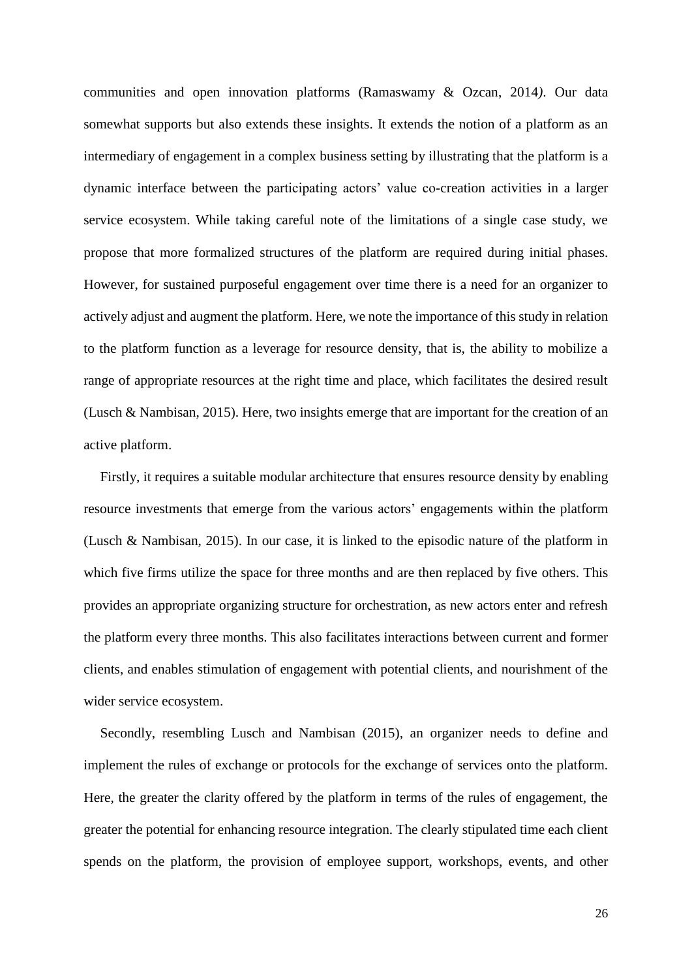communities and open innovation platforms (Ramaswamy & Ozcan, 2014*)*. Our data somewhat supports but also extends these insights. It extends the notion of a platform as an intermediary of engagement in a complex business setting by illustrating that the platform is a dynamic interface between the participating actors' value co-creation activities in a larger service ecosystem. While taking careful note of the limitations of a single case study, we propose that more formalized structures of the platform are required during initial phases. However, for sustained purposeful engagement over time there is a need for an organizer to actively adjust and augment the platform. Here, we note the importance of this study in relation to the platform function as a leverage for resource density, that is, the ability to mobilize a range of appropriate resources at the right time and place, which facilitates the desired result (Lusch & Nambisan, 2015). Here, two insights emerge that are important for the creation of an active platform.

Firstly, it requires a suitable modular architecture that ensures resource density by enabling resource investments that emerge from the various actors' engagements within the platform (Lusch & Nambisan, 2015). In our case, it is linked to the episodic nature of the platform in which five firms utilize the space for three months and are then replaced by five others. This provides an appropriate organizing structure for orchestration, as new actors enter and refresh the platform every three months. This also facilitates interactions between current and former clients, and enables stimulation of engagement with potential clients, and nourishment of the wider service ecosystem.

Secondly, resembling Lusch and Nambisan (2015), an organizer needs to define and implement the rules of exchange or protocols for the exchange of services onto the platform. Here, the greater the clarity offered by the platform in terms of the rules of engagement, the greater the potential for enhancing resource integration. The clearly stipulated time each client spends on the platform, the provision of employee support, workshops, events, and other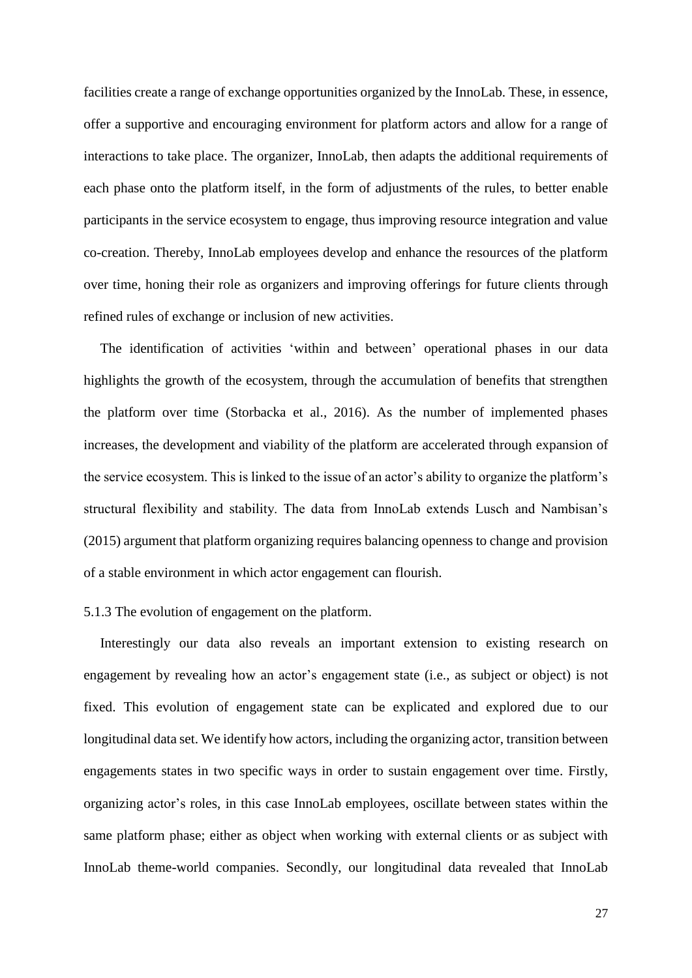facilities create a range of exchange opportunities organized by the InnoLab. These, in essence, offer a supportive and encouraging environment for platform actors and allow for a range of interactions to take place. The organizer, InnoLab, then adapts the additional requirements of each phase onto the platform itself, in the form of adjustments of the rules, to better enable participants in the service ecosystem to engage, thus improving resource integration and value co-creation. Thereby, InnoLab employees develop and enhance the resources of the platform over time, honing their role as organizers and improving offerings for future clients through refined rules of exchange or inclusion of new activities.

The identification of activities 'within and between' operational phases in our data highlights the growth of the ecosystem, through the accumulation of benefits that strengthen the platform over time (Storbacka et al., 2016). As the number of implemented phases increases, the development and viability of the platform are accelerated through expansion of the service ecosystem. This is linked to the issue of an actor's ability to organize the platform's structural flexibility and stability. The data from InnoLab extends Lusch and Nambisan's (2015) argument that platform organizing requires balancing openness to change and provision of a stable environment in which actor engagement can flourish.

#### 5.1.3 The evolution of engagement on the platform.

Interestingly our data also reveals an important extension to existing research on engagement by revealing how an actor's engagement state (i.e., as subject or object) is not fixed. This evolution of engagement state can be explicated and explored due to our longitudinal data set. We identify how actors, including the organizing actor, transition between engagements states in two specific ways in order to sustain engagement over time. Firstly, organizing actor's roles, in this case InnoLab employees, oscillate between states within the same platform phase; either as object when working with external clients or as subject with InnoLab theme-world companies. Secondly, our longitudinal data revealed that InnoLab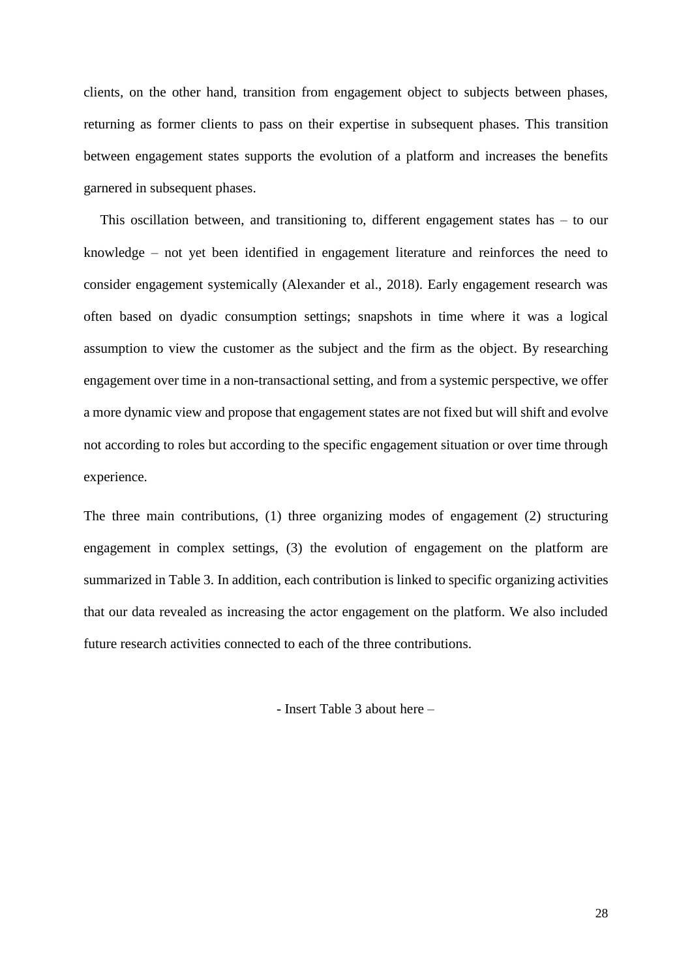clients, on the other hand, transition from engagement object to subjects between phases, returning as former clients to pass on their expertise in subsequent phases. This transition between engagement states supports the evolution of a platform and increases the benefits garnered in subsequent phases.

This oscillation between, and transitioning to, different engagement states has – to our knowledge – not yet been identified in engagement literature and reinforces the need to consider engagement systemically (Alexander et al., 2018). Early engagement research was often based on dyadic consumption settings; snapshots in time where it was a logical assumption to view the customer as the subject and the firm as the object. By researching engagement over time in a non-transactional setting, and from a systemic perspective, we offer a more dynamic view and propose that engagement states are not fixed but will shift and evolve not according to roles but according to the specific engagement situation or over time through experience.

The three main contributions, (1) three organizing modes of engagement (2) structuring engagement in complex settings, (3) the evolution of engagement on the platform are summarized in Table 3. In addition, each contribution is linked to specific organizing activities that our data revealed as increasing the actor engagement on the platform. We also included future research activities connected to each of the three contributions.

- Insert Table 3 about here –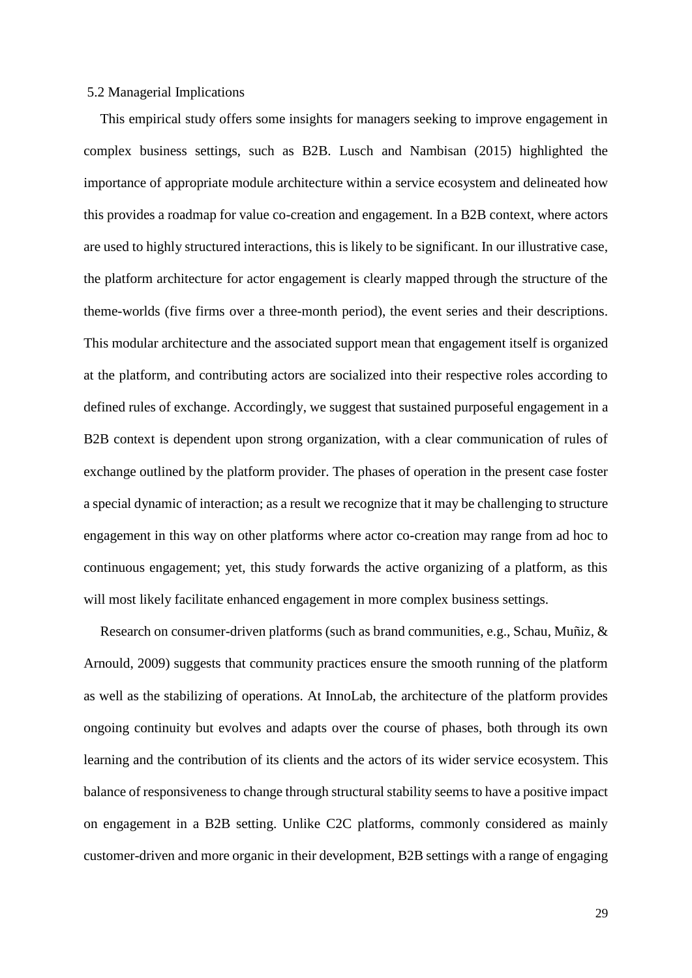#### 5.2 Managerial Implications

This empirical study offers some insights for managers seeking to improve engagement in complex business settings, such as B2B. Lusch and Nambisan (2015) highlighted the importance of appropriate module architecture within a service ecosystem and delineated how this provides a roadmap for value co-creation and engagement. In a B2B context, where actors are used to highly structured interactions, this is likely to be significant. In our illustrative case, the platform architecture for actor engagement is clearly mapped through the structure of the theme-worlds (five firms over a three-month period), the event series and their descriptions. This modular architecture and the associated support mean that engagement itself is organized at the platform, and contributing actors are socialized into their respective roles according to defined rules of exchange. Accordingly, we suggest that sustained purposeful engagement in a B2B context is dependent upon strong organization, with a clear communication of rules of exchange outlined by the platform provider. The phases of operation in the present case foster a special dynamic of interaction; as a result we recognize that it may be challenging to structure engagement in this way on other platforms where actor co-creation may range from ad hoc to continuous engagement; yet, this study forwards the active organizing of a platform, as this will most likely facilitate enhanced engagement in more complex business settings.

Research on consumer-driven platforms (such as brand communities, e.g., Schau, Muñiz, & Arnould, 2009) suggests that community practices ensure the smooth running of the platform as well as the stabilizing of operations. At InnoLab, the architecture of the platform provides ongoing continuity but evolves and adapts over the course of phases, both through its own learning and the contribution of its clients and the actors of its wider service ecosystem. This balance of responsiveness to change through structural stability seems to have a positive impact on engagement in a B2B setting. Unlike C2C platforms, commonly considered as mainly customer-driven and more organic in their development, B2B settings with a range of engaging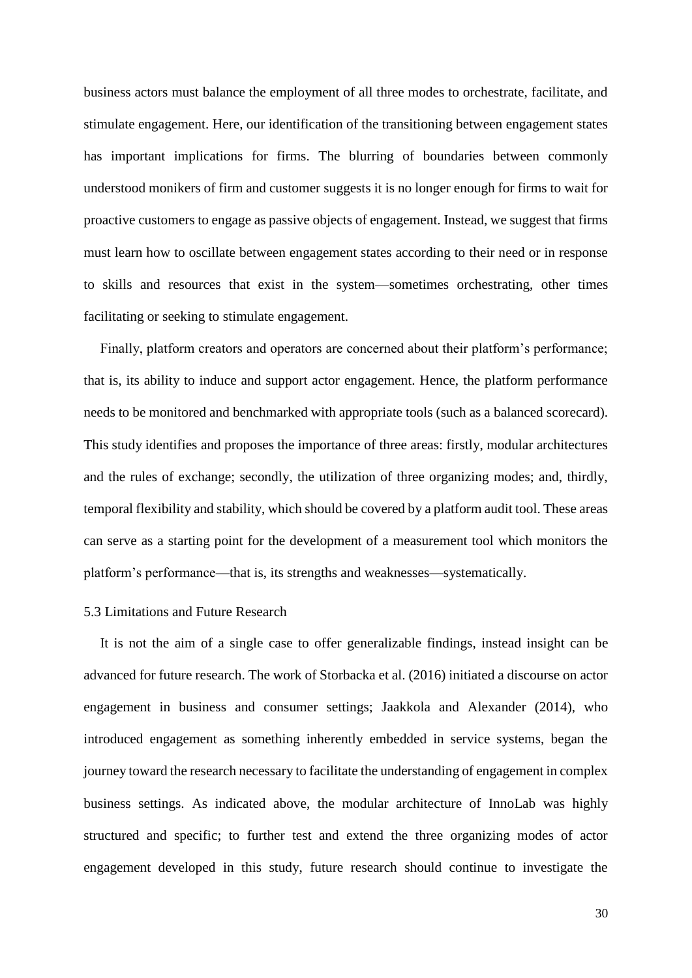business actors must balance the employment of all three modes to orchestrate, facilitate, and stimulate engagement. Here, our identification of the transitioning between engagement states has important implications for firms. The blurring of boundaries between commonly understood monikers of firm and customer suggests it is no longer enough for firms to wait for proactive customers to engage as passive objects of engagement. Instead, we suggest that firms must learn how to oscillate between engagement states according to their need or in response to skills and resources that exist in the system—sometimes orchestrating, other times facilitating or seeking to stimulate engagement.

Finally, platform creators and operators are concerned about their platform's performance; that is, its ability to induce and support actor engagement. Hence, the platform performance needs to be monitored and benchmarked with appropriate tools (such as a balanced scorecard). This study identifies and proposes the importance of three areas: firstly, modular architectures and the rules of exchange; secondly, the utilization of three organizing modes; and, thirdly, temporal flexibility and stability, which should be covered by a platform audit tool. These areas can serve as a starting point for the development of a measurement tool which monitors the platform's performance—that is, its strengths and weaknesses—systematically.

#### 5.3 Limitations and Future Research

It is not the aim of a single case to offer generalizable findings, instead insight can be advanced for future research. The work of Storbacka et al. (2016) initiated a discourse on actor engagement in business and consumer settings; Jaakkola and Alexander (2014), who introduced engagement as something inherently embedded in service systems, began the journey toward the research necessary to facilitate the understanding of engagement in complex business settings. As indicated above, the modular architecture of InnoLab was highly structured and specific; to further test and extend the three organizing modes of actor engagement developed in this study, future research should continue to investigate the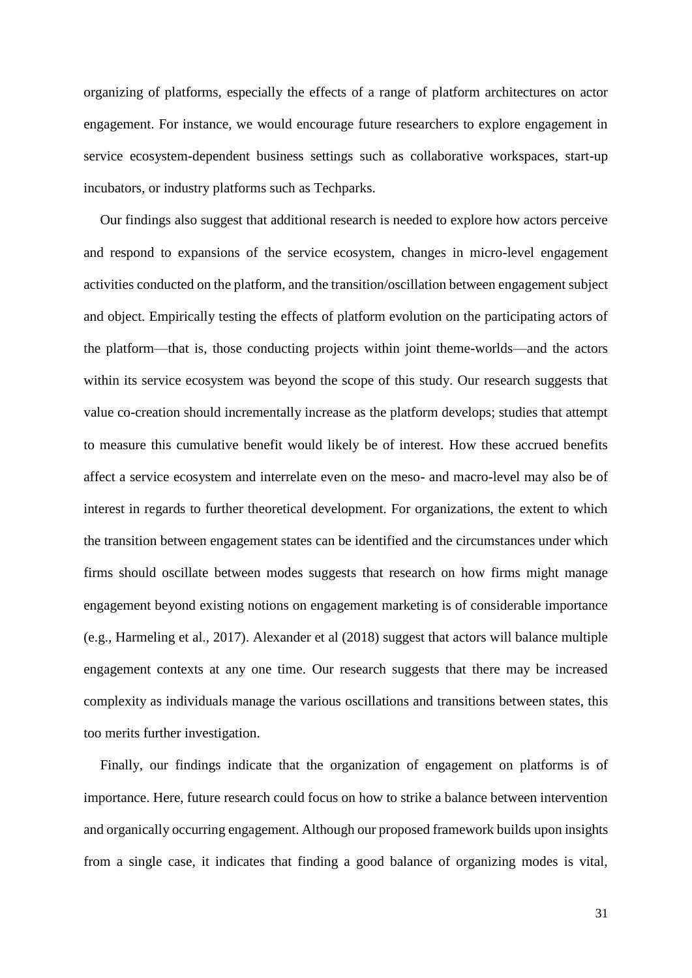organizing of platforms, especially the effects of a range of platform architectures on actor engagement. For instance, we would encourage future researchers to explore engagement in service ecosystem-dependent business settings such as collaborative workspaces, start-up incubators, or industry platforms such as Techparks.

Our findings also suggest that additional research is needed to explore how actors perceive and respond to expansions of the service ecosystem, changes in micro-level engagement activities conducted on the platform, and the transition/oscillation between engagement subject and object. Empirically testing the effects of platform evolution on the participating actors of the platform—that is, those conducting projects within joint theme-worlds—and the actors within its service ecosystem was beyond the scope of this study. Our research suggests that value co-creation should incrementally increase as the platform develops; studies that attempt to measure this cumulative benefit would likely be of interest. How these accrued benefits affect a service ecosystem and interrelate even on the meso- and macro-level may also be of interest in regards to further theoretical development. For organizations, the extent to which the transition between engagement states can be identified and the circumstances under which firms should oscillate between modes suggests that research on how firms might manage engagement beyond existing notions on engagement marketing is of considerable importance (e.g., Harmeling et al., 2017). Alexander et al (2018) suggest that actors will balance multiple engagement contexts at any one time. Our research suggests that there may be increased complexity as individuals manage the various oscillations and transitions between states, this too merits further investigation.

Finally, our findings indicate that the organization of engagement on platforms is of importance. Here, future research could focus on how to strike a balance between intervention and organically occurring engagement. Although our proposed framework builds upon insights from a single case, it indicates that finding a good balance of organizing modes is vital,

31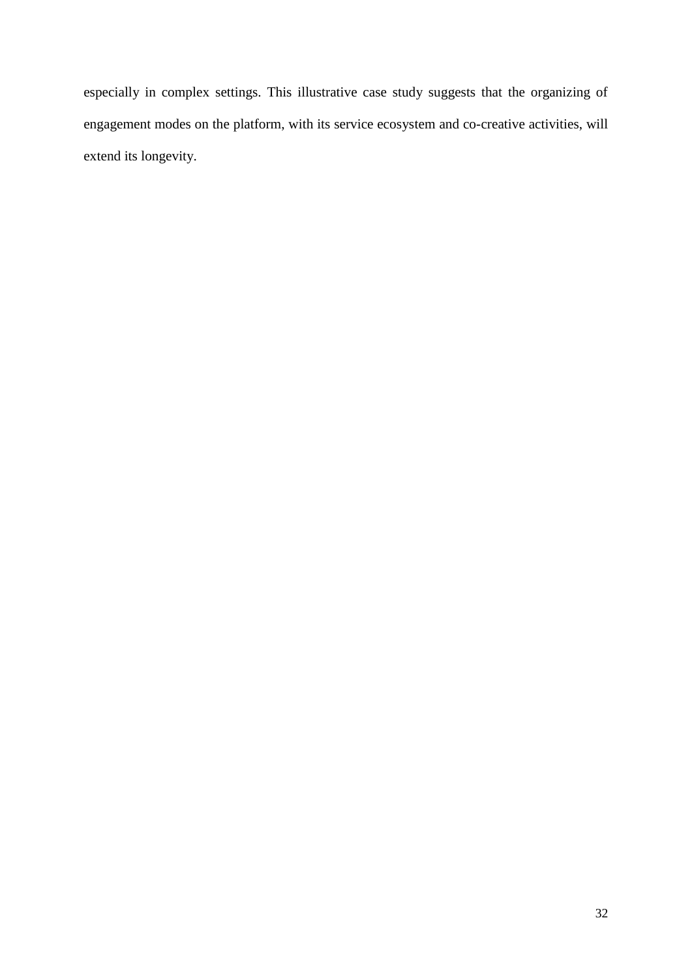especially in complex settings. This illustrative case study suggests that the organizing of engagement modes on the platform, with its service ecosystem and co-creative activities, will extend its longevity.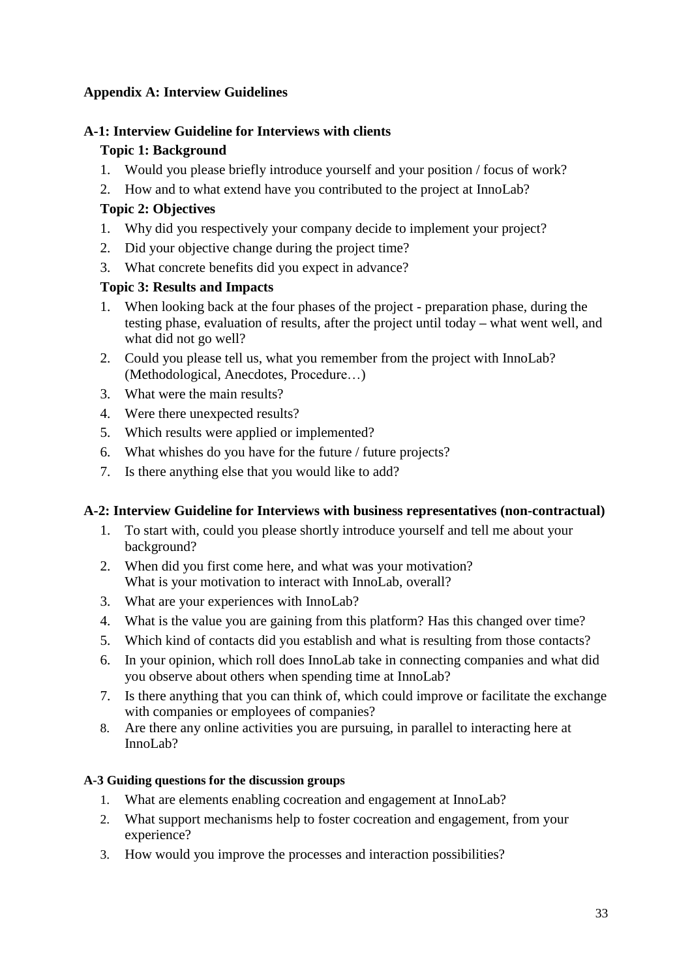### **Appendix A: Interview Guidelines**

## **A-1: Interview Guideline for Interviews with clients**

### **Topic 1: Background**

- 1. Would you please briefly introduce yourself and your position / focus of work?
- 2. How and to what extend have you contributed to the project at InnoLab?

### **Topic 2: Objectives**

- 1. Why did you respectively your company decide to implement your project?
- 2. Did your objective change during the project time?
- 3. What concrete benefits did you expect in advance?

### **Topic 3: Results and Impacts**

- 1. When looking back at the four phases of the project preparation phase, during the testing phase, evaluation of results, after the project until today **–** what went well, and what did not go well?
- 2. Could you please tell us, what you remember from the project with InnoLab? (Methodological, Anecdotes, Procedure…)
- 3. What were the main results?
- 4. Were there unexpected results?
- 5. Which results were applied or implemented?
- 6. What whishes do you have for the future / future projects?
- 7. Is there anything else that you would like to add?

### **A-2: Interview Guideline for Interviews with business representatives (non-contractual)**

- 1. To start with, could you please shortly introduce yourself and tell me about your background?
- 2. When did you first come here, and what was your motivation? What is your motivation to interact with InnoLab, overall?
- 3. What are your experiences with InnoLab?
- 4. What is the value you are gaining from this platform? Has this changed over time?
- 5. Which kind of contacts did you establish and what is resulting from those contacts?
- 6. In your opinion, which roll does InnoLab take in connecting companies and what did you observe about others when spending time at InnoLab?
- 7. Is there anything that you can think of, which could improve or facilitate the exchange with companies or employees of companies?
- 8. Are there any online activities you are pursuing, in parallel to interacting here at InnoLab?

### **A-3 Guiding questions for the discussion groups**

- 1. What are elements enabling cocreation and engagement at InnoLab?
- 2. What support mechanisms help to foster cocreation and engagement, from your experience?
- 3. How would you improve the processes and interaction possibilities?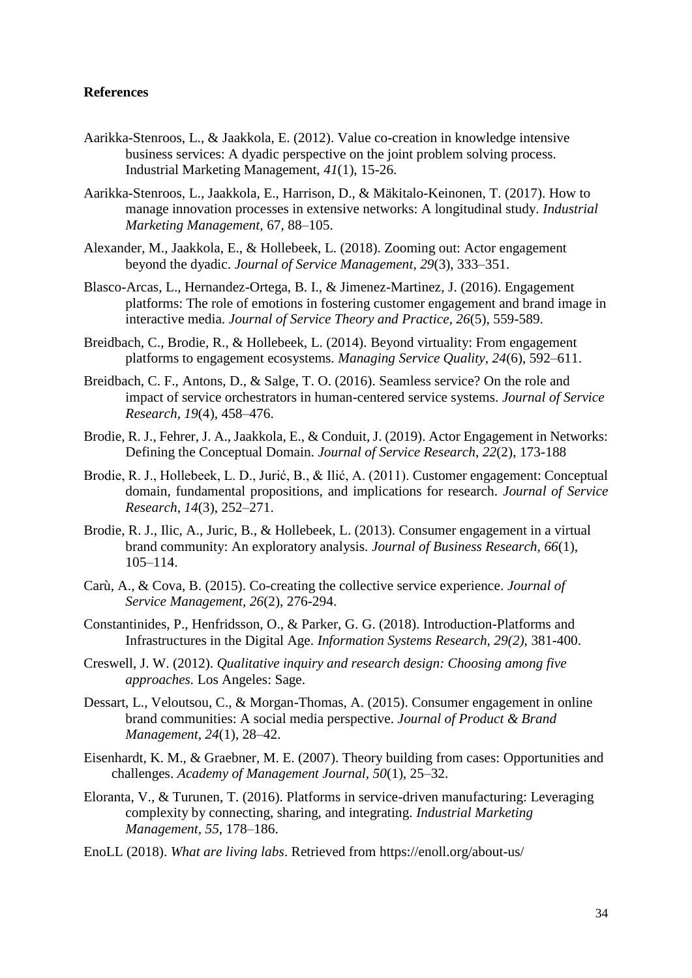#### **References**

- Aarikka-Stenroos, L., & Jaakkola, E. (2012). Value co-creation in knowledge intensive business services: A dyadic perspective on the joint problem solving process. Industrial Marketing Management, *41*(1), 15-26.
- Aarikka-Stenroos, L., Jaakkola, E., Harrison, D., & Mäkitalo-Keinonen, T. (2017). How to manage innovation processes in extensive networks: A longitudinal study. *Industrial Marketing Management*, 67, 88–105.
- Alexander, M., Jaakkola, E., & Hollebeek, L. (2018). Zooming out: Actor engagement beyond the dyadic. *Journal of Service Management*, *29*(3), 333–351.
- Blasco-Arcas, L., Hernandez-Ortega, B. I., & Jimenez-Martinez, J. (2016). Engagement platforms: The role of emotions in fostering customer engagement and brand image in interactive media. *Journal of Service Theory and Practice*, *26*(5), 559-589.
- Breidbach, C., Brodie, R., & Hollebeek, L. (2014). Beyond virtuality: From engagement platforms to engagement ecosystems. *Managing Service Quality, 24*(6), 592–611.
- Breidbach, C. F., Antons, D., & Salge, T. O. (2016). Seamless service? On the role and impact of service orchestrators in human-centered service systems. *Journal of Service Research, 19*(4), 458–476.
- Brodie, R. J., Fehrer, J. A., Jaakkola, E., & Conduit, J. (2019). Actor Engagement in Networks: Defining the Conceptual Domain. *Journal of Service Research*, *22*(2), 173-188
- Brodie, R. J., Hollebeek, L. D., Jurić, B., & Ilić, A. (2011). Customer engagement: Conceptual domain, fundamental propositions, and implications for research. *Journal of Service Research, 14*(3), 252–271.
- Brodie, R. J., Ilic, A., Juric, B., & Hollebeek, L. (2013). Consumer engagement in a virtual brand community: An exploratory analysis. *Journal of Business Research, 66*(1), 105–114.
- Carù, A., & Cova, B. (2015). Co-creating the collective service experience. *Journal of Service Management, 26*(2), 276-294.
- Constantinides, P., Henfridsson, O., & Parker, G. G. (2018). Introduction-Platforms and Infrastructures in the Digital Age. *Information Systems Research, 29(2),* 381-400.
- Creswell, J. W. (2012). *Qualitative inquiry and research design: Choosing among five approaches.* Los Angeles: Sage.
- Dessart, L., Veloutsou, C., & Morgan-Thomas, A. (2015). Consumer engagement in online brand communities: A social media perspective. *Journal of Product & Brand Management, 24*(1), 28–42.
- Eisenhardt, K. M., & Graebner, M. E. (2007). Theory building from cases: Opportunities and challenges. *Academy of Management Journal, 50*(1), 25–32.
- Eloranta, V., & Turunen, T. (2016). Platforms in service-driven manufacturing: Leveraging complexity by connecting, sharing, and integrating. *Industrial Marketing Management, 55*, 178–186.
- EnoLL (2018). *What are living labs*. Retrieved from https://enoll.org/about-us/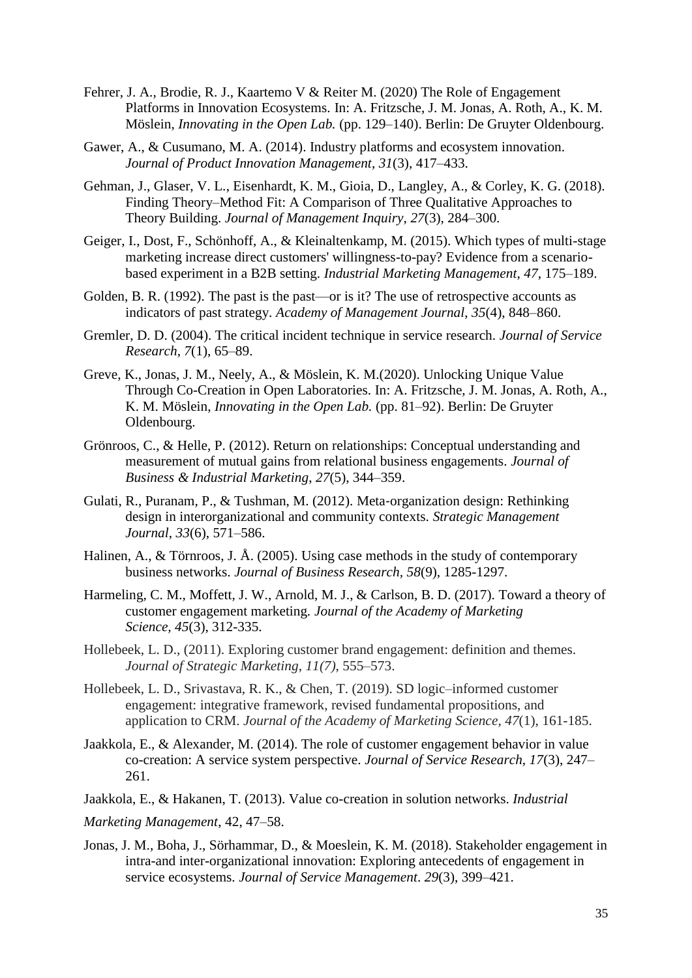- Fehrer, J. A., Brodie, R. J., Kaartemo V & Reiter M. (2020) The Role of Engagement Platforms in Innovation Ecosystems. In: A. Fritzsche, J. M. Jonas, A. Roth, A., K. M. Möslein, *Innovating in the Open Lab.* (pp. 129–140). Berlin: De Gruyter Oldenbourg.
- Gawer, A., & Cusumano, M. A. (2014). Industry platforms and ecosystem innovation. *Journal of Product Innovation Management*, *31*(3), 417–433.
- Gehman, J., Glaser, V. L., Eisenhardt, K. M., Gioia, D., Langley, A., & Corley, K. G. (2018). Finding Theory–Method Fit: A Comparison of Three Qualitative Approaches to Theory Building. *Journal of Management Inquiry*, *27*(3), 284–300.
- Geiger, I., Dost, F., Schönhoff, A., & Kleinaltenkamp, M. (2015). Which types of multi-stage marketing increase direct customers' willingness-to-pay? Evidence from a scenariobased experiment in a B2B setting. *Industrial Marketing Management*, *47*, 175–189.
- Golden, B. R. (1992). The past is the past—or is it? The use of retrospective accounts as indicators of past strategy. *Academy of Management Journal*, *35*(4), 848–860.
- Gremler, D. D. (2004). The critical incident technique in service research. *Journal of Service Research*, *7*(1), 65–89.
- Greve, K., Jonas, J. M., Neely, A., & Möslein, K. M.(2020). Unlocking Unique Value Through Co-Creation in Open Laboratories. In: A. Fritzsche, J. M. Jonas, A. Roth, A., K. M. Möslein, *Innovating in the Open Lab.* (pp. 81–92). Berlin: De Gruyter Oldenbourg.
- Grönroos, C., & Helle, P. (2012). Return on relationships: Conceptual understanding and measurement of mutual gains from relational business engagements. *Journal of Business & Industrial Marketing*, *27*(5), 344–359.
- Gulati, R., Puranam, P., & Tushman, M. (2012). Meta‐organization design: Rethinking design in interorganizational and community contexts. *Strategic Management Journal*, *33*(6), 571–586.
- Halinen, A., & Törnroos, J. Å. (2005). Using case methods in the study of contemporary business networks. *Journal of Business Research, 58*(9), 1285-1297.
- Harmeling, C. M., Moffett, J. W., Arnold, M. J., & Carlson, B. D. (2017). Toward a theory of customer engagement marketing*. Journal of the Academy of Marketing Science, 45*(3), 312-335.
- Hollebeek, L. D., (2011). Exploring customer brand engagement: definition and themes. *Journal of Strategic Marketing*, *11(7)*, 555–573.
- Hollebeek, L. D., Srivastava, R. K., & Chen, T. (2019). SD logic–informed customer engagement: integrative framework, revised fundamental propositions, and application to CRM. *Journal of the Academy of Marketing Science*, *47*(1), 161-185.
- Jaakkola, E., & Alexander, M. (2014). The role of customer engagement behavior in value co-creation: A service system perspective. *Journal of Service Research, 17*(3), 247– 261.
- Jaakkola, E., & Hakanen, T. (2013). Value co-creation in solution networks. *Industrial*
- *Marketing Management*, 42, 47–58.
- Jonas, J. M., Boha, J., Sörhammar, D., & Moeslein, K. M. (2018). Stakeholder engagement in intra-and inter-organizational innovation: Exploring antecedents of engagement in service ecosystems. *Journal of Service Management*. *29*(3), 399–421.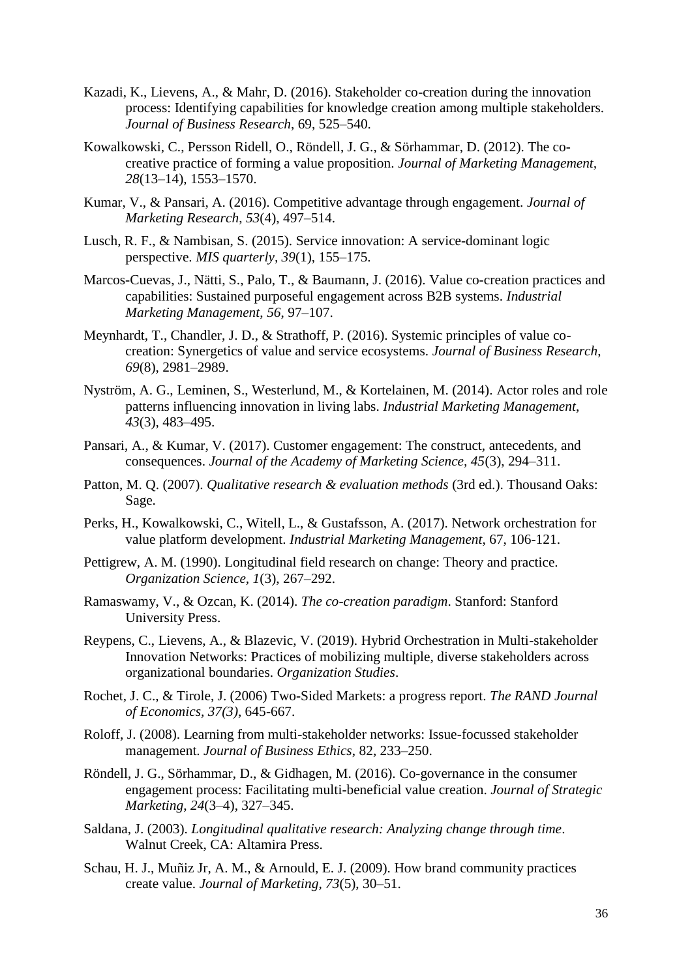- Kazadi, K., Lievens, A., & Mahr, D. (2016). Stakeholder co-creation during the innovation process: Identifying capabilities for knowledge creation among multiple stakeholders. *Journal of Business Research*, 69, 525–540.
- Kowalkowski, C., Persson Ridell, O., Röndell, J. G., & Sörhammar, D. (2012). The cocreative practice of forming a value proposition. *Journal of Marketing Management, 28*(13–14), 1553–1570.
- Kumar, V., & Pansari, A. (2016). Competitive advantage through engagement. *Journal of Marketing Research*, *53*(4), 497–514.
- Lusch, R. F., & Nambisan, S. (2015). Service innovation: A service-dominant logic perspective. *MIS quarterly, 39*(1), 155–175.
- Marcos-Cuevas, J., Nätti, S., Palo, T., & Baumann, J. (2016). Value co-creation practices and capabilities: Sustained purposeful engagement across B2B systems. *Industrial Marketing Management*, *56*, 97–107.
- Meynhardt, T., Chandler, J. D., & Strathoff, P. (2016). Systemic principles of value cocreation: Synergetics of value and service ecosystems. *Journal of Business Research*, *69*(8), 2981–2989.
- Nyström, A. G., Leminen, S., Westerlund, M., & Kortelainen, M. (2014). Actor roles and role patterns influencing innovation in living labs. *Industrial Marketing Management*, *43*(3), 483–495.
- Pansari, A., & Kumar, V. (2017). Customer engagement: The construct, antecedents, and consequences. *Journal of the Academy of Marketing Science, 45*(3), 294–311.
- Patton, M. Q. (2007). *Qualitative research & evaluation methods* (3rd ed.). Thousand Oaks: Sage.
- Perks, H., Kowalkowski, C., Witell, L., & Gustafsson, A. (2017). Network orchestration for value platform development. *Industrial Marketing Management*, 67, 106-121.
- Pettigrew, A. M. (1990). Longitudinal field research on change: Theory and practice. *Organization Science, 1*(3), 267–292.
- Ramaswamy, V., & Ozcan, K. (2014). *The co-creation paradigm*. Stanford: Stanford University Press.
- Reypens, C., Lievens, A., & Blazevic, V. (2019). Hybrid Orchestration in Multi-stakeholder Innovation Networks: Practices of mobilizing multiple, diverse stakeholders across organizational boundaries. *Organization Studies*.
- Rochet, J. C., & Tirole, J. (2006) Two-Sided Markets: a progress report. *The RAND Journal of Economics, 37(3)*, 645-667.
- Roloff, J. (2008). Learning from multi-stakeholder networks: Issue-focussed stakeholder management. *Journal of Business Ethics*, 82, 233–250.
- Röndell, J. G., Sörhammar, D., & Gidhagen, M. (2016). Co-governance in the consumer engagement process: Facilitating multi-beneficial value creation. *Journal of Strategic Marketing*, *24*(3–4), 327–345.
- Saldana, J. (2003). *Longitudinal qualitative research: Analyzing change through time*. Walnut Creek, CA: Altamira Press.
- Schau, H. J., Muñiz Jr, A. M., & Arnould, E. J. (2009). How brand community practices create value. *Journal of Marketing, 73*(5), 30–51.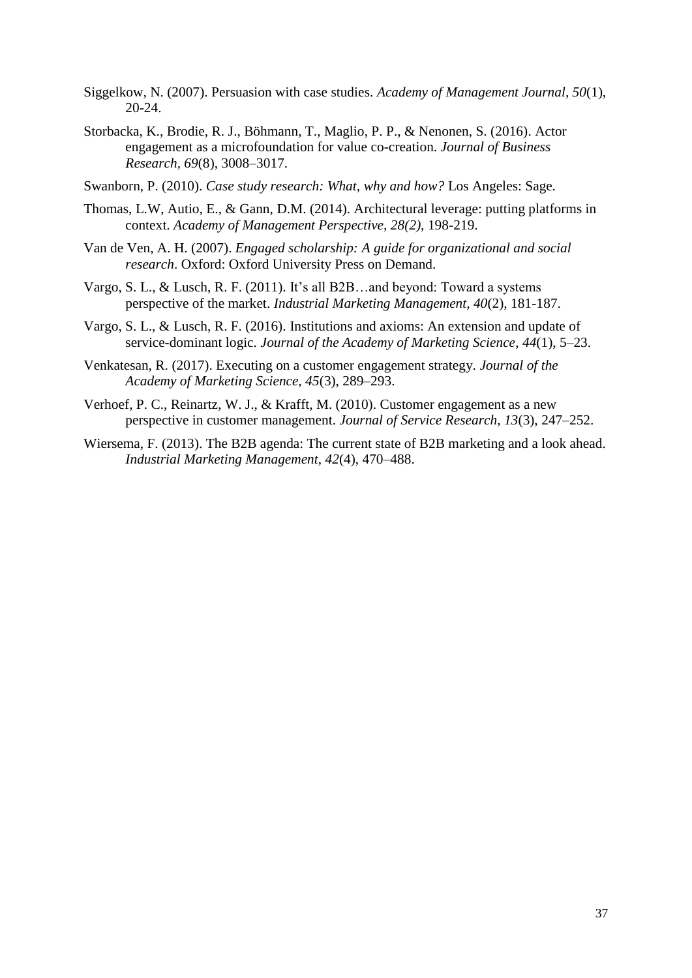- Siggelkow, N. (2007). Persuasion with case studies. *Academy of Management Journal, 50*(1), 20-24.
- Storbacka, K., Brodie, R. J., Böhmann, T., Maglio, P. P., & Nenonen, S. (2016). Actor engagement as a microfoundation for value co-creation. *Journal of Business Research, 69*(8), 3008–3017.
- Swanborn, P. (2010). *Case study research: What, why and how?* Los Angeles: Sage.
- Thomas, L.W, Autio, E., & Gann, D.M. (2014). Architectural leverage: putting platforms in context. *Academy of Management Perspective, 28(2),* 198-219.
- Van de Ven, A. H. (2007). *Engaged scholarship: A guide for organizational and social research*. Oxford: Oxford University Press on Demand.
- Vargo, S. L., & Lusch, R. F. (2011). It's all B2B…and beyond: Toward a systems perspective of the market. *Industrial Marketing Management, 40*(2)*,* 181-187.
- Vargo, S. L., & Lusch, R. F. (2016). Institutions and axioms: An extension and update of service-dominant logic. *Journal of the Academy of Marketing Science*, *44*(1), 5–23.
- Venkatesan, R. (2017). Executing on a customer engagement strategy. *Journal of the Academy of Marketing Science, 45*(3), 289–293.
- Verhoef, P. C., Reinartz, W. J., & Krafft, M. (2010). Customer engagement as a new perspective in customer management. *Journal of Service Research*, *13*(3), 247–252.
- Wiersema, F. (2013). The B2B agenda: The current state of B2B marketing and a look ahead. *Industrial Marketing Management*, *42*(4), 470–488.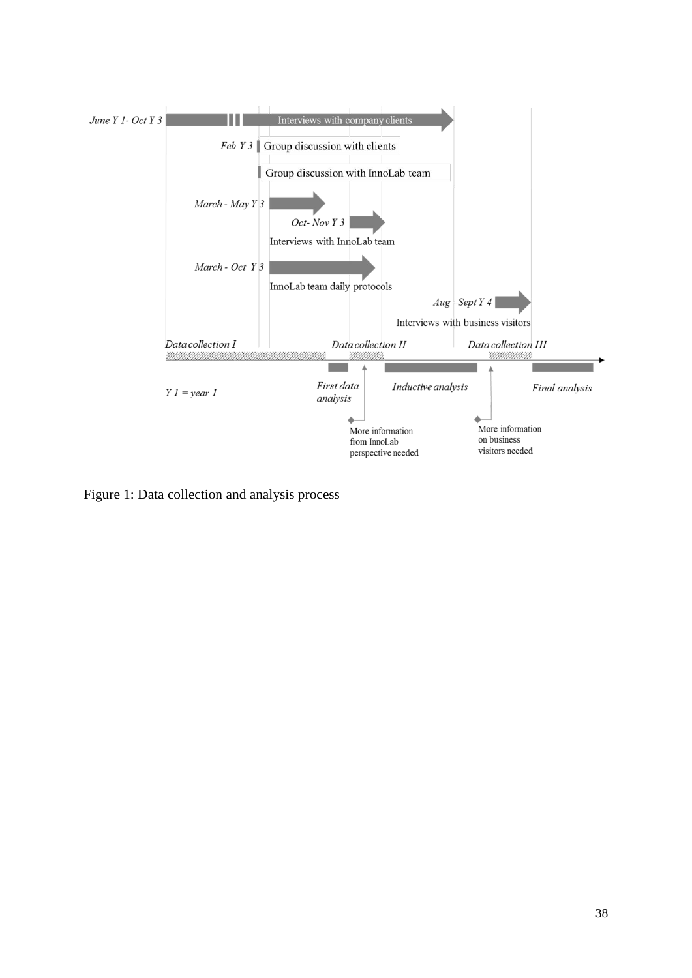

Figure 1: Data collection and analysis process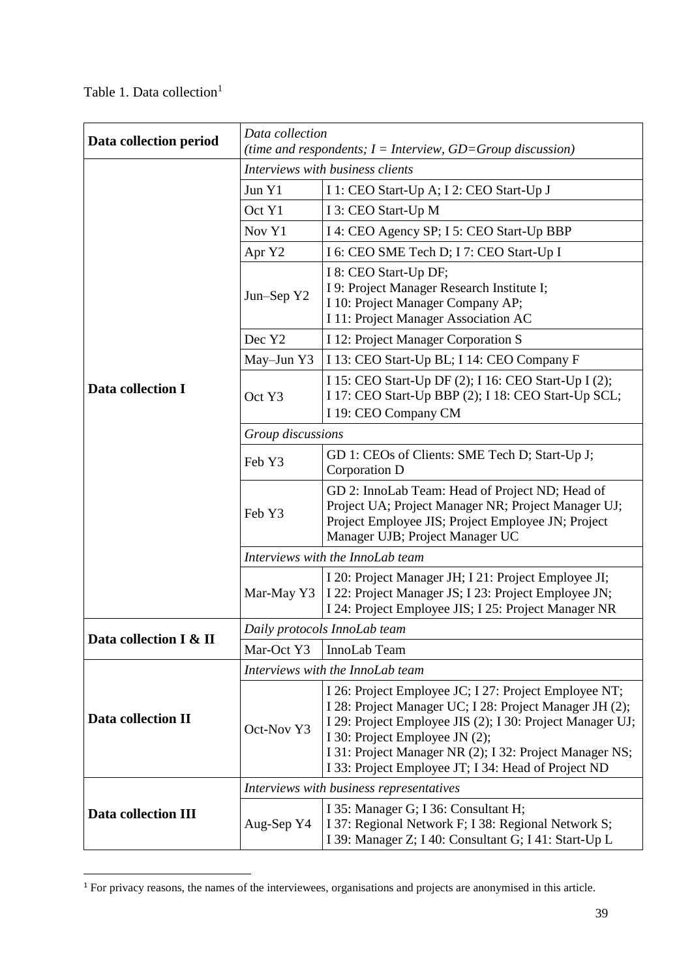|  |  | Table 1. Data collection <sup>1</sup> |
|--|--|---------------------------------------|
|  |  |                                       |

**.** 

| Data collection period     | Data collection<br>(time and respondents; $I =$ Interview, $GD =$ Group discussion) |                                                                                                                                                                                                                                                                                                                                   |  |  |  |
|----------------------------|-------------------------------------------------------------------------------------|-----------------------------------------------------------------------------------------------------------------------------------------------------------------------------------------------------------------------------------------------------------------------------------------------------------------------------------|--|--|--|
|                            | Interviews with business clients                                                    |                                                                                                                                                                                                                                                                                                                                   |  |  |  |
|                            | Jun Y1<br>I 1: CEO Start-Up A; I 2: CEO Start-Up J                                  |                                                                                                                                                                                                                                                                                                                                   |  |  |  |
|                            | Oct Y1                                                                              | I 3: CEO Start-Up M                                                                                                                                                                                                                                                                                                               |  |  |  |
|                            | Nov Y1                                                                              | I 4: CEO Agency SP; I 5: CEO Start-Up BBP                                                                                                                                                                                                                                                                                         |  |  |  |
|                            | Apr Y2                                                                              | I 6: CEO SME Tech D; I 7: CEO Start-Up I                                                                                                                                                                                                                                                                                          |  |  |  |
|                            | Jun-Sep Y2                                                                          | I 8: CEO Start-Up DF;<br>I 9: Project Manager Research Institute I;<br>I 10: Project Manager Company AP;<br>I 11: Project Manager Association AC                                                                                                                                                                                  |  |  |  |
|                            | Dec Y2                                                                              | I 12: Project Manager Corporation S                                                                                                                                                                                                                                                                                               |  |  |  |
|                            | May-Jun Y3                                                                          | I 13: CEO Start-Up BL; I 14: CEO Company F                                                                                                                                                                                                                                                                                        |  |  |  |
| Data collection I          | Oct Y3                                                                              | I 15: CEO Start-Up DF (2); I 16: CEO Start-Up I (2);<br>I 17: CEO Start-Up BBP (2); I 18: CEO Start-Up SCL;<br>I 19: CEO Company CM                                                                                                                                                                                               |  |  |  |
|                            | Group discussions                                                                   |                                                                                                                                                                                                                                                                                                                                   |  |  |  |
|                            | GD 1: CEOs of Clients: SME Tech D; Start-Up J;<br>Feb Y3<br>Corporation D           |                                                                                                                                                                                                                                                                                                                                   |  |  |  |
|                            | Feb Y3                                                                              | GD 2: InnoLab Team: Head of Project ND; Head of<br>Project UA; Project Manager NR; Project Manager UJ;<br>Project Employee JIS; Project Employee JN; Project<br>Manager UJB; Project Manager UC                                                                                                                                   |  |  |  |
|                            | Interviews with the InnoLab team                                                    |                                                                                                                                                                                                                                                                                                                                   |  |  |  |
|                            | Mar-May Y3                                                                          | I 20: Project Manager JH; I 21: Project Employee JI;<br>I 22: Project Manager JS; I 23: Project Employee JN;<br>I 24: Project Employee JIS; I 25: Project Manager NR                                                                                                                                                              |  |  |  |
|                            | Daily protocols InnoLab team                                                        |                                                                                                                                                                                                                                                                                                                                   |  |  |  |
| Data collection I & II     | Mar-Oct Y3                                                                          | InnoLab Team                                                                                                                                                                                                                                                                                                                      |  |  |  |
|                            | Interviews with the InnoLab team                                                    |                                                                                                                                                                                                                                                                                                                                   |  |  |  |
| Data collection II         | Oct-Nov Y3                                                                          | I 26: Project Employee JC; I 27: Project Employee NT;<br>I 28: Project Manager UC; I 28: Project Manager JH (2);<br>I 29: Project Employee JIS (2); I 30: Project Manager UJ;<br>I 30: Project Employee JN (2);<br>I 31: Project Manager NR (2); I 32: Project Manager NS;<br>I 33: Project Employee JT; I 34: Head of Project ND |  |  |  |
|                            | Interviews with business representatives                                            |                                                                                                                                                                                                                                                                                                                                   |  |  |  |
| <b>Data collection III</b> | Aug-Sep Y4                                                                          | I 35: Manager G; I 36: Consultant H;<br>I 37: Regional Network F; I 38: Regional Network S;<br>I 39: Manager Z; I 40: Consultant G; I 41: Start-Up L                                                                                                                                                                              |  |  |  |

<sup>&</sup>lt;sup>1</sup> For privacy reasons, the names of the interviewees, organisations and projects are anonymised in this article.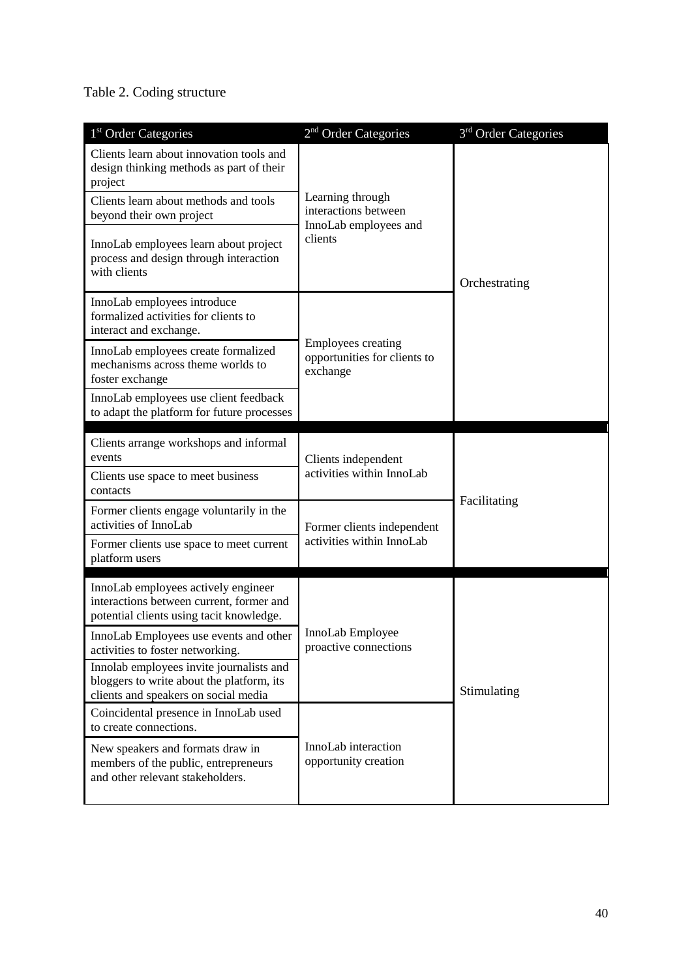# Table 2. Coding structure

| 1 <sup>st</sup> Order Categories                                                                                              | 2 <sup>nd</sup> Order Categories                                      | 3 <sup>rd</sup> Order Categories |  |
|-------------------------------------------------------------------------------------------------------------------------------|-----------------------------------------------------------------------|----------------------------------|--|
| Clients learn about innovation tools and<br>design thinking methods as part of their<br>project                               |                                                                       |                                  |  |
| Clients learn about methods and tools<br>beyond their own project                                                             | Learning through<br>interactions between<br>InnoLab employees and     | Orchestrating                    |  |
| InnoLab employees learn about project<br>process and design through interaction<br>with clients                               | clients                                                               |                                  |  |
| InnoLab employees introduce<br>formalized activities for clients to<br>interact and exchange.                                 |                                                                       |                                  |  |
| InnoLab employees create formalized<br>mechanisms across theme worlds to<br>foster exchange                                   | <b>Employees creating</b><br>opportunities for clients to<br>exchange |                                  |  |
| InnoLab employees use client feedback<br>to adapt the platform for future processes                                           |                                                                       |                                  |  |
| Clients arrange workshops and informal<br>events                                                                              | Clients independent                                                   | Facilitating                     |  |
| Clients use space to meet business<br>contacts                                                                                | activities within InnoLab                                             |                                  |  |
| Former clients engage voluntarily in the<br>activities of InnoLab                                                             | Former clients independent                                            |                                  |  |
| Former clients use space to meet current<br>platform users                                                                    | activities within InnoLab                                             |                                  |  |
| InnoLab employees actively engineer<br>interactions between current, former and<br>potential clients using tacit knowledge.   |                                                                       | Stimulating                      |  |
| InnoLab Employees use events and other<br>activities to foster networking.                                                    | InnoLab Employee<br>proactive connections                             |                                  |  |
| Innolab employees invite journalists and<br>bloggers to write about the platform, its<br>clients and speakers on social media |                                                                       |                                  |  |
| Coincidental presence in InnoLab used<br>to create connections.                                                               |                                                                       |                                  |  |
| New speakers and formats draw in<br>members of the public, entrepreneurs<br>and other relevant stakeholders.                  | InnoLab interaction<br>opportunity creation                           |                                  |  |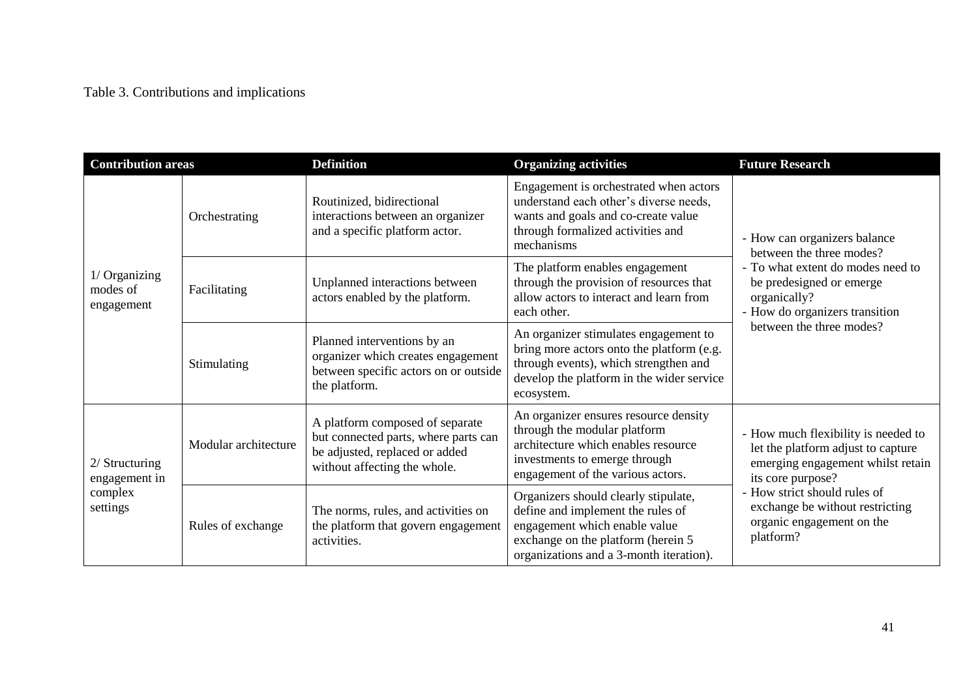# Table 3. Contributions and implications

| <b>Contribution areas</b>                                |                      | <b>Definition</b>                                                                                                                                                                                                                                                              | <b>Organizing activities</b>                                                                                                                                                                | <b>Future Research</b>                                                                                                                                                                                                                           |  |
|----------------------------------------------------------|----------------------|--------------------------------------------------------------------------------------------------------------------------------------------------------------------------------------------------------------------------------------------------------------------------------|---------------------------------------------------------------------------------------------------------------------------------------------------------------------------------------------|--------------------------------------------------------------------------------------------------------------------------------------------------------------------------------------------------------------------------------------------------|--|
|                                                          | Orchestrating        | Engagement is orchestrated when actors<br>understand each other's diverse needs,<br>Routinized, bidirectional<br>interactions between an organizer<br>wants and goals and co-create value<br>and a specific platform actor.<br>through formalized activities and<br>mechanisms |                                                                                                                                                                                             | - How can organizers balance<br>between the three modes?                                                                                                                                                                                         |  |
| 1/ Organizing<br>modes of<br>engagement                  | Facilitating         | The platform enables engagement<br>through the provision of resources that<br>Unplanned interactions between<br>allow actors to interact and learn from<br>actors enabled by the platform.<br>organically?<br>each other.                                                      |                                                                                                                                                                                             | - To what extent do modes need to<br>be predesigned or emerge<br>- How do organizers transition                                                                                                                                                  |  |
|                                                          | Stimulating          | Planned interventions by an<br>organizer which creates engagement<br>between specific actors on or outside<br>the platform.                                                                                                                                                    | An organizer stimulates engagement to<br>bring more actors onto the platform (e.g.<br>through events), which strengthen and<br>develop the platform in the wider service<br>ecosystem.      | between the three modes?                                                                                                                                                                                                                         |  |
| $2/$ Structuring<br>engagement in<br>complex<br>settings | Modular architecture | A platform composed of separate<br>but connected parts, where parts can<br>be adjusted, replaced or added<br>without affecting the whole.                                                                                                                                      | An organizer ensures resource density<br>through the modular platform<br>architecture which enables resource<br>investments to emerge through<br>engagement of the various actors.          | - How much flexibility is needed to<br>let the platform adjust to capture<br>emerging engagement whilst retain<br>its core purpose?<br>- How strict should rules of<br>exchange be without restricting<br>organic engagement on the<br>platform? |  |
|                                                          | Rules of exchange    | The norms, rules, and activities on<br>the platform that govern engagement<br>activities.                                                                                                                                                                                      | Organizers should clearly stipulate,<br>define and implement the rules of<br>engagement which enable value<br>exchange on the platform (herein 5<br>organizations and a 3-month iteration). |                                                                                                                                                                                                                                                  |  |